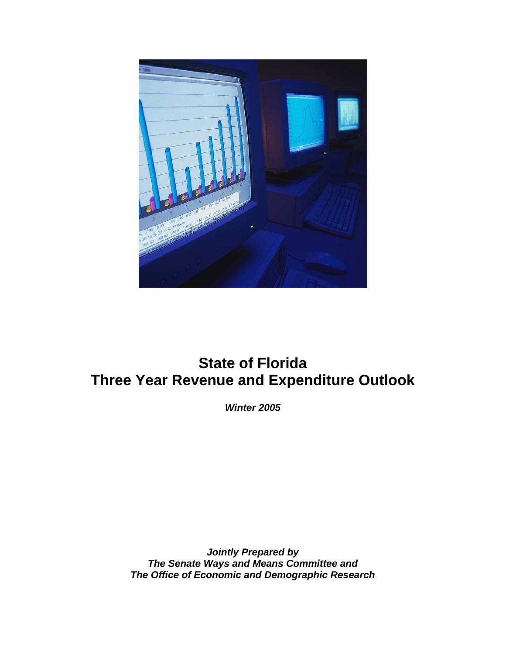

# **State of Florida Three Year Revenue and Expenditure Outlook**

*Winter 2005* 

*Jointly Prepared by The Senate Ways and Means Committee and The Office of Economic and Demographic Research*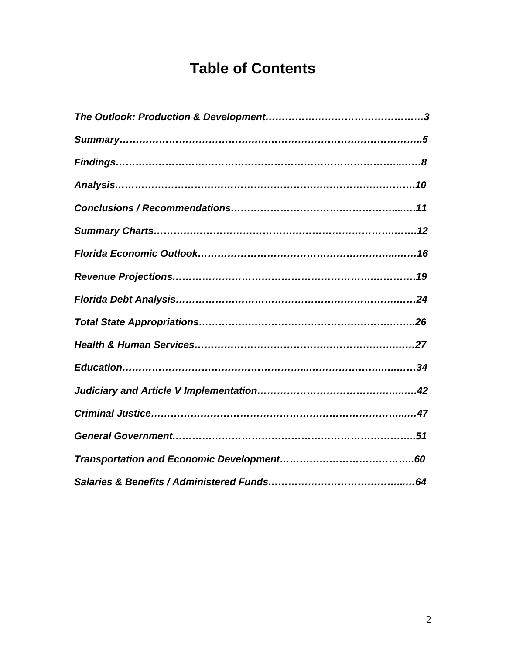# **Table of Contents**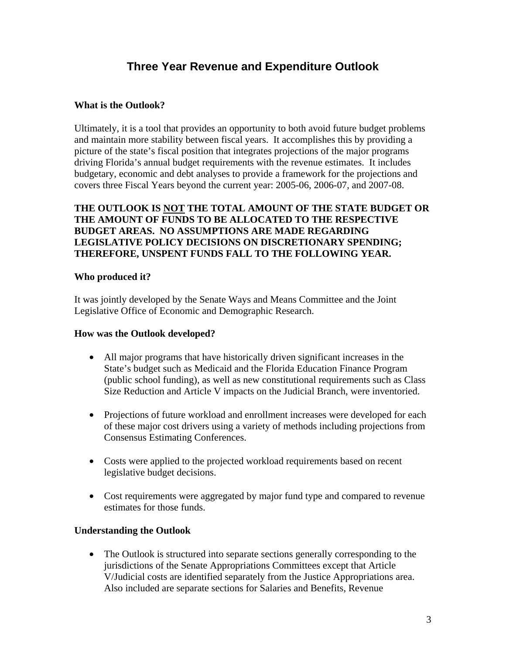## **Three Year Revenue and Expenditure Outlook**

### **What is the Outlook?**

Ultimately, it is a tool that provides an opportunity to both avoid future budget problems and maintain more stability between fiscal years. It accomplishes this by providing a picture of the state's fiscal position that integrates projections of the major programs driving Florida's annual budget requirements with the revenue estimates. It includes budgetary, economic and debt analyses to provide a framework for the projections and covers three Fiscal Years beyond the current year: 2005-06, 2006-07, and 2007-08.

#### **THE OUTLOOK IS NOT THE TOTAL AMOUNT OF THE STATE BUDGET OR THE AMOUNT OF FUNDS TO BE ALLOCATED TO THE RESPECTIVE BUDGET AREAS. NO ASSUMPTIONS ARE MADE REGARDING LEGISLATIVE POLICY DECISIONS ON DISCRETIONARY SPENDING; THEREFORE, UNSPENT FUNDS FALL TO THE FOLLOWING YEAR.**

#### **Who produced it?**

It was jointly developed by the Senate Ways and Means Committee and the Joint Legislative Office of Economic and Demographic Research.

#### **How was the Outlook developed?**

- All major programs that have historically driven significant increases in the State's budget such as Medicaid and the Florida Education Finance Program (public school funding), as well as new constitutional requirements such as Class Size Reduction and Article V impacts on the Judicial Branch, were inventoried.
- Projections of future workload and enrollment increases were developed for each of these major cost drivers using a variety of methods including projections from Consensus Estimating Conferences.
- Costs were applied to the projected workload requirements based on recent legislative budget decisions.
- Cost requirements were aggregated by major fund type and compared to revenue estimates for those funds.

#### **Understanding the Outlook**

• The Outlook is structured into separate sections generally corresponding to the jurisdictions of the Senate Appropriations Committees except that Article V/Judicial costs are identified separately from the Justice Appropriations area. Also included are separate sections for Salaries and Benefits, Revenue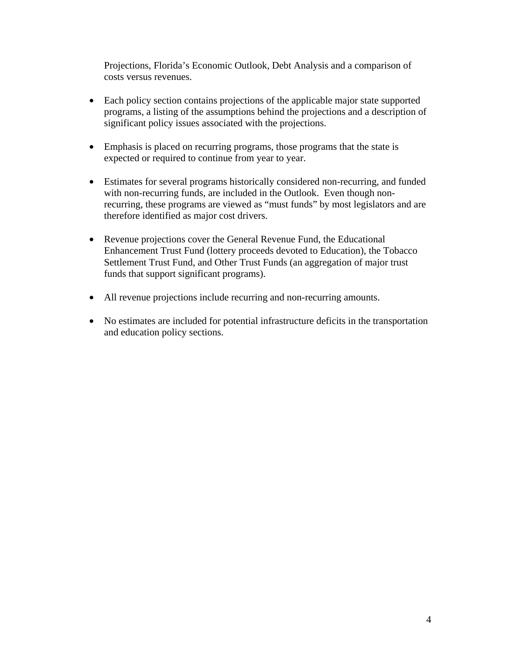Projections, Florida's Economic Outlook, Debt Analysis and a comparison of costs versus revenues.

- Each policy section contains projections of the applicable major state supported programs, a listing of the assumptions behind the projections and a description of significant policy issues associated with the projections.
- Emphasis is placed on recurring programs, those programs that the state is expected or required to continue from year to year.
- Estimates for several programs historically considered non-recurring, and funded with non-recurring funds, are included in the Outlook. Even though nonrecurring, these programs are viewed as "must funds" by most legislators and are therefore identified as major cost drivers.
- Revenue projections cover the General Revenue Fund, the Educational Enhancement Trust Fund (lottery proceeds devoted to Education), the Tobacco Settlement Trust Fund, and Other Trust Funds (an aggregation of major trust funds that support significant programs).
- All revenue projections include recurring and non-recurring amounts.
- No estimates are included for potential infrastructure deficits in the transportation and education policy sections.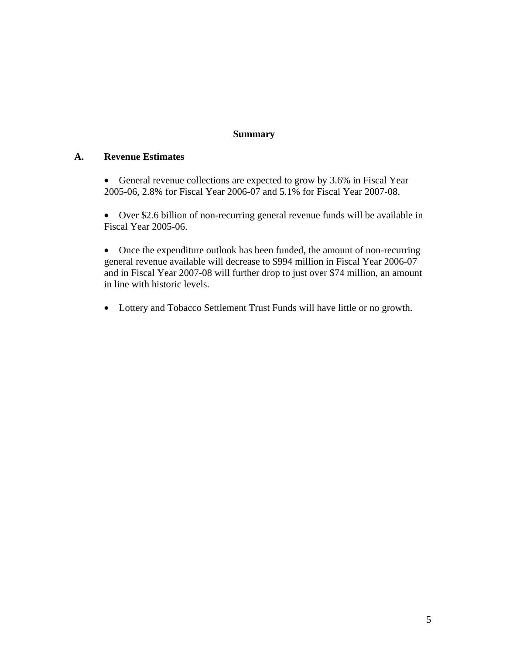#### **Summary**

#### **A. Revenue Estimates**

• General revenue collections are expected to grow by 3.6% in Fiscal Year 2005-06, 2.8% for Fiscal Year 2006-07 and 5.1% for Fiscal Year 2007-08.

• Over \$2.6 billion of non-recurring general revenue funds will be available in Fiscal Year 2005-06.

• Once the expenditure outlook has been funded, the amount of non-recurring general revenue available will decrease to \$994 million in Fiscal Year 2006-07 and in Fiscal Year 2007-08 will further drop to just over \$74 million, an amount in line with historic levels.

• Lottery and Tobacco Settlement Trust Funds will have little or no growth.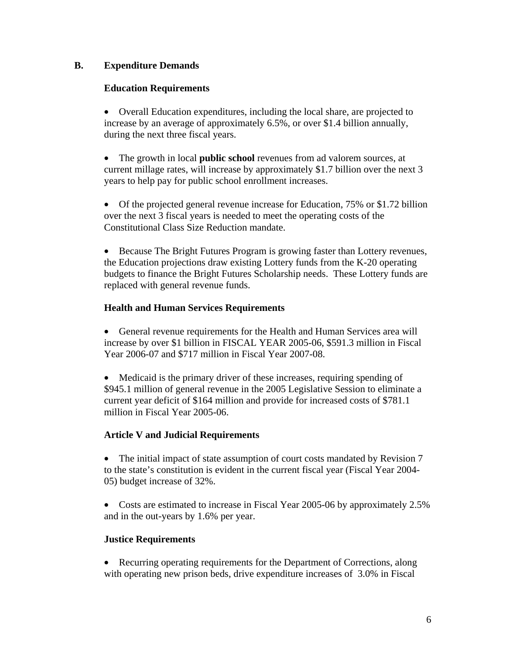#### **B. Expenditure Demands**

#### **Education Requirements**

• Overall Education expenditures, including the local share, are projected to increase by an average of approximately 6.5%, or over \$1.4 billion annually, during the next three fiscal years.

• The growth in local **public school** revenues from ad valorem sources, at current millage rates, will increase by approximately \$1.7 billion over the next 3 years to help pay for public school enrollment increases.

• Of the projected general revenue increase for Education, 75% or \$1.72 billion over the next 3 fiscal years is needed to meet the operating costs of the Constitutional Class Size Reduction mandate.

• Because The Bright Futures Program is growing faster than Lottery revenues, the Education projections draw existing Lottery funds from the K-20 operating budgets to finance the Bright Futures Scholarship needs. These Lottery funds are replaced with general revenue funds.

#### **Health and Human Services Requirements**

• General revenue requirements for the Health and Human Services area will increase by over \$1 billion in FISCAL YEAR 2005-06, \$591.3 million in Fiscal Year 2006-07 and \$717 million in Fiscal Year 2007-08.

• Medicaid is the primary driver of these increases, requiring spending of \$945.1 million of general revenue in the 2005 Legislative Session to eliminate a current year deficit of \$164 million and provide for increased costs of \$781.1 million in Fiscal Year 2005-06.

#### **Article V and Judicial Requirements**

• The initial impact of state assumption of court costs mandated by Revision 7 to the state's constitution is evident in the current fiscal year (Fiscal Year 2004- 05) budget increase of 32%.

• Costs are estimated to increase in Fiscal Year 2005-06 by approximately 2.5% and in the out-years by 1.6% per year.

### **Justice Requirements**

• Recurring operating requirements for the Department of Corrections, along with operating new prison beds, drive expenditure increases of 3.0% in Fiscal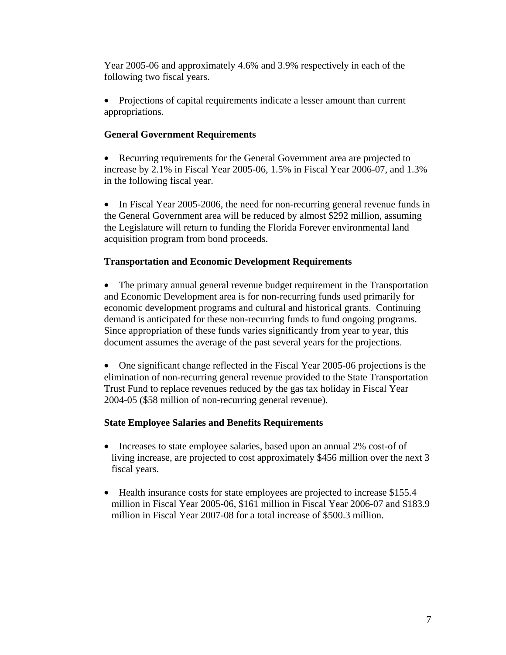Year 2005-06 and approximately 4.6% and 3.9% respectively in each of the following two fiscal years.

• Projections of capital requirements indicate a lesser amount than current appropriations.

#### **General Government Requirements**

• Recurring requirements for the General Government area are projected to increase by 2.1% in Fiscal Year 2005-06, 1.5% in Fiscal Year 2006-07, and 1.3% in the following fiscal year.

• In Fiscal Year 2005-2006, the need for non-recurring general revenue funds in the General Government area will be reduced by almost \$292 million, assuming the Legislature will return to funding the Florida Forever environmental land acquisition program from bond proceeds.

### **Transportation and Economic Development Requirements**

• The primary annual general revenue budget requirement in the Transportation and Economic Development area is for non-recurring funds used primarily for economic development programs and cultural and historical grants. Continuing demand is anticipated for these non-recurring funds to fund ongoing programs. Since appropriation of these funds varies significantly from year to year, this document assumes the average of the past several years for the projections.

• One significant change reflected in the Fiscal Year 2005-06 projections is the elimination of non-recurring general revenue provided to the State Transportation Trust Fund to replace revenues reduced by the gas tax holiday in Fiscal Year 2004-05 (\$58 million of non-recurring general revenue).

#### **State Employee Salaries and Benefits Requirements**

- Increases to state employee salaries, based upon an annual 2% cost-of of living increase, are projected to cost approximately \$456 million over the next 3 fiscal years.
- Health insurance costs for state employees are projected to increase \$155.4 million in Fiscal Year 2005-06, \$161 million in Fiscal Year 2006-07 and \$183.9 million in Fiscal Year 2007-08 for a total increase of \$500.3 million.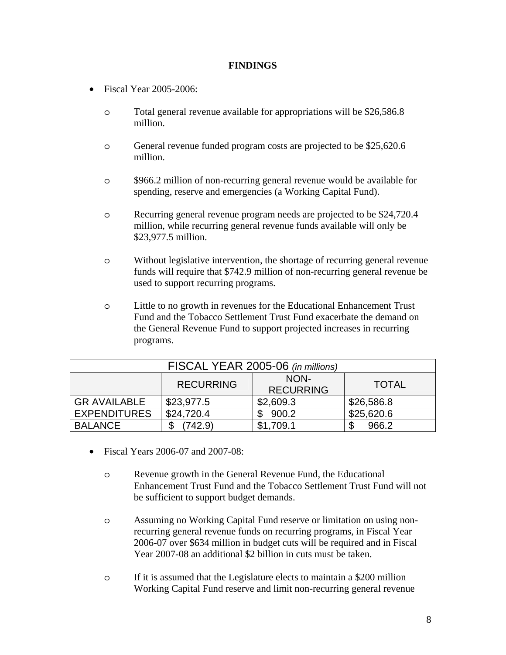#### **FINDINGS**

- Fiscal Year 2005-2006:
	- o Total general revenue available for appropriations will be \$26,586.8 million.
	- o General revenue funded program costs are projected to be \$25,620.6 million.
	- o \$966.2 million of non-recurring general revenue would be available for spending, reserve and emergencies (a Working Capital Fund).
	- o Recurring general revenue program needs are projected to be \$24,720.4 million, while recurring general revenue funds available will only be \$23,977.5 million.
	- o Without legislative intervention, the shortage of recurring general revenue funds will require that \$742.9 million of non-recurring general revenue be used to support recurring programs.
	- o Little to no growth in revenues for the Educational Enhancement Trust Fund and the Tobacco Settlement Trust Fund exacerbate the demand on the General Revenue Fund to support projected increases in recurring programs.

| FISCAL YEAR 2005-06 (in millions)                            |            |           |            |  |  |
|--------------------------------------------------------------|------------|-----------|------------|--|--|
| NON-<br><b>RECURRING</b><br><b>TOTAL</b><br><b>RECURRING</b> |            |           |            |  |  |
| <b>GR AVAILABLE</b>                                          | \$23,977.5 | \$2,609.3 | \$26,586.8 |  |  |
| <b>EXPENDITURES</b>                                          | \$24,720.4 | 900.2     | \$25,620.6 |  |  |
| <b>BALANCE</b>                                               | 742.9      | \$1,709.1 | 966.2      |  |  |

- Fiscal Years 2006-07 and 2007-08:
	- o Revenue growth in the General Revenue Fund, the Educational Enhancement Trust Fund and the Tobacco Settlement Trust Fund will not be sufficient to support budget demands.
	- o Assuming no Working Capital Fund reserve or limitation on using nonrecurring general revenue funds on recurring programs, in Fiscal Year 2006-07 over \$634 million in budget cuts will be required and in Fiscal Year 2007-08 an additional \$2 billion in cuts must be taken.
	- o If it is assumed that the Legislature elects to maintain a \$200 million Working Capital Fund reserve and limit non-recurring general revenue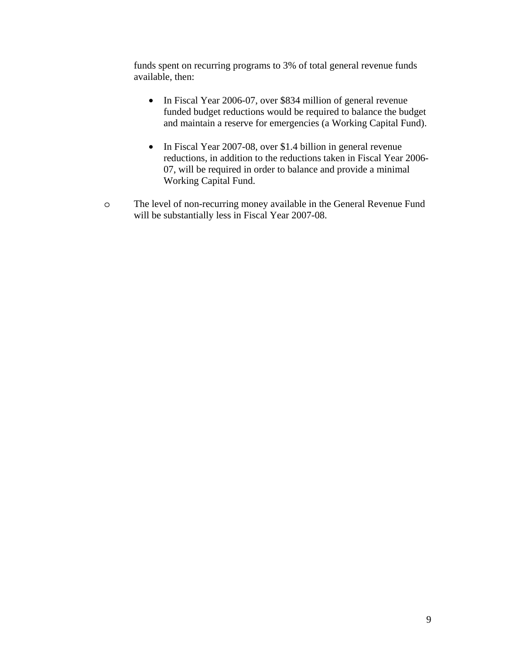funds spent on recurring programs to 3% of total general revenue funds available, then:

- In Fiscal Year 2006-07, over \$834 million of general revenue funded budget reductions would be required to balance the budget and maintain a reserve for emergencies (a Working Capital Fund).
- In Fiscal Year 2007-08, over \$1.4 billion in general revenue reductions, in addition to the reductions taken in Fiscal Year 2006- 07, will be required in order to balance and provide a minimal Working Capital Fund.
- o The level of non-recurring money available in the General Revenue Fund will be substantially less in Fiscal Year 2007-08.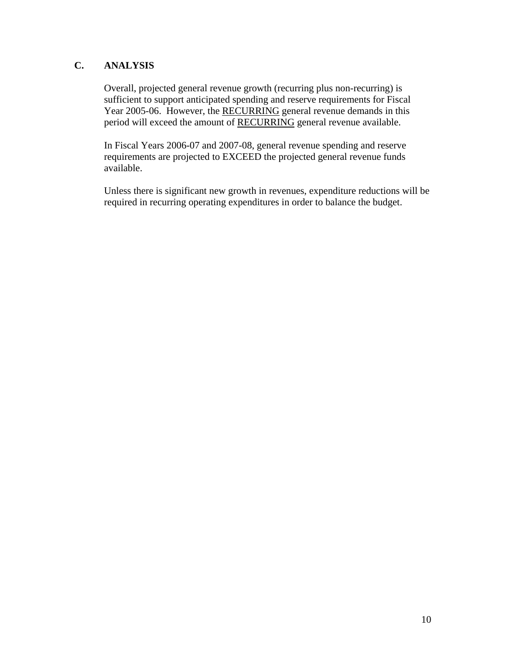### **C. ANALYSIS**

Overall, projected general revenue growth (recurring plus non-recurring) is sufficient to support anticipated spending and reserve requirements for Fiscal Year 2005-06. However, the RECURRING general revenue demands in this period will exceed the amount of RECURRING general revenue available.

In Fiscal Years 2006-07 and 2007-08, general revenue spending and reserve requirements are projected to EXCEED the projected general revenue funds available.

Unless there is significant new growth in revenues, expenditure reductions will be required in recurring operating expenditures in order to balance the budget.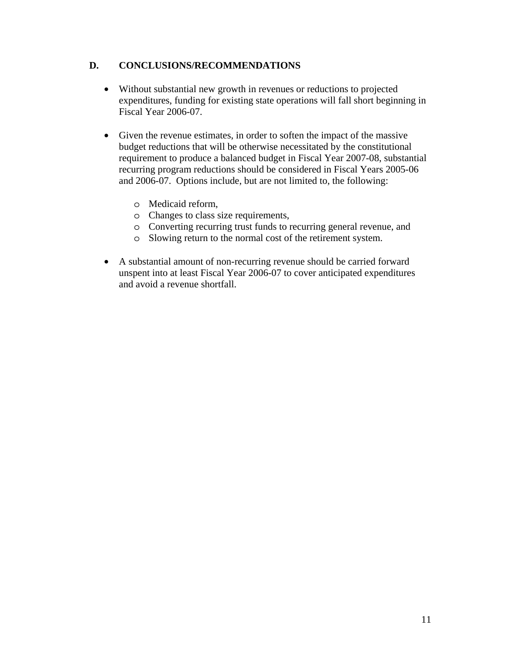#### **D. CONCLUSIONS/RECOMMENDATIONS**

- Without substantial new growth in revenues or reductions to projected expenditures, funding for existing state operations will fall short beginning in Fiscal Year 2006-07.
- Given the revenue estimates, in order to soften the impact of the massive budget reductions that will be otherwise necessitated by the constitutional requirement to produce a balanced budget in Fiscal Year 2007-08, substantial recurring program reductions should be considered in Fiscal Years 2005-06 and 2006-07. Options include, but are not limited to, the following:
	- o Medicaid reform,
	- o Changes to class size requirements,
	- o Converting recurring trust funds to recurring general revenue, and
	- o Slowing return to the normal cost of the retirement system.
- A substantial amount of non-recurring revenue should be carried forward unspent into at least Fiscal Year 2006-07 to cover anticipated expenditures and avoid a revenue shortfall.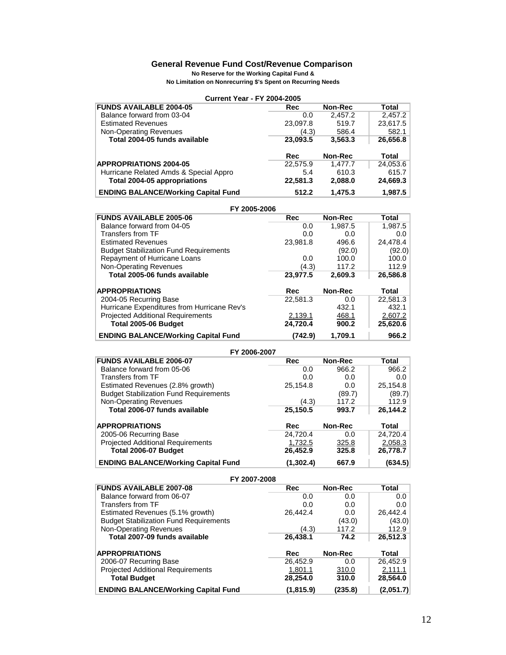#### **General Revenue Fund Cost/Revenue Comparison**

**No Reserve for the Working Capital Fund &**

**No Limitation on Nonrecurring \$'s Spent on Recurring Needs**

| <b>Current Year - FY 2004-2005</b>                             |                   |                |              |
|----------------------------------------------------------------|-------------------|----------------|--------------|
| <b>FUNDS AVAILABLE 2004-05</b>                                 | Rec               | <b>Non-Rec</b> | Total        |
| Balance forward from 03-04                                     | 0.0               | 2,457.2        | 2,457.2      |
| <b>Estimated Revenues</b>                                      | 23,097.8          | 519.7          | 23,617.5     |
| <b>Non-Operating Revenues</b>                                  | (4.3)             | 586.4          | 582.1        |
| Total 2004-05 funds available                                  | 23,093.5          | 3,563.3        | 26,656.8     |
|                                                                | Rec               | Non-Rec        | <b>Total</b> |
| <b>APPROPRIATIONS 2004-05</b>                                  | 22,575.9          | 1,477.7        | 24,053.6     |
| Hurricane Related Amds & Special Appro                         | 5.4               | 610.3          | 615.7        |
| Total 2004-05 appropriations                                   | 22,581.3          | 2,088.0        | 24,669.3     |
| <b>ENDING BALANCE/Working Capital Fund</b>                     | 512.2             | 1,475.3        | 1,987.5      |
| FY 2005-2006                                                   |                   |                |              |
| <b>FUNDS AVAILABLE 2005-06</b>                                 | Rec               | <b>Non-Rec</b> | <b>Total</b> |
| Balance forward from 04-05                                     | 0.0               | 1,987.5        | 1,987.5      |
| Transfers from TF                                              | 0.0               | 0.0            | 0.0          |
| <b>Estimated Revenues</b>                                      | 23,981.8          | 496.6          | 24,478.4     |
| <b>Budget Stabilization Fund Requirements</b>                  |                   | (92.0)         | (92.0)       |
| Repayment of Hurricane Loans                                   | 0.0               | 100.0          | 100.0        |
| Non-Operating Revenues<br>Total 2005-06 funds available        | (4.3)             | 117.2          | 112.9        |
|                                                                | 23,977.5          | 2,609.3        | 26,586.8     |
| <b>APPROPRIATIONS</b>                                          | Rec               | Non-Rec        | <b>Total</b> |
| 2004-05 Recurring Base                                         | 22,581.3          | 0.0            | 22,581.3     |
| Hurricane Expenditures from Hurricane Rev's                    |                   | 432.1          | 432.1        |
| <b>Projected Additional Requirements</b>                       | 2,139.1           | 468.1          | 2,607.2      |
| Total 2005-06 Budget                                           | 24,720.4          | 900.2          | 25,620.6     |
| <b>ENDING BALANCE/Working Capital Fund</b>                     | (742.9)           | 1,709.1        | 966.2        |
| FY 2006-2007                                                   |                   |                |              |
| <b>FUNDS AVAILABLE 2006-07</b>                                 | <b>Rec</b>        | <b>Non-Rec</b> | <b>Total</b> |
| Balance forward from 05-06                                     | 0.0               | 966.2          | 966.2        |
| <b>Transfers from TF</b>                                       | 0.0               | 0.0            | 0.0          |
| Estimated Revenues (2.8% growth)                               | 25,154.8          | 0.0            | 25,154.8     |
| <b>Budget Stabilization Fund Requirements</b>                  |                   | (89.7)         | (89.7)       |
| <b>Non-Operating Revenues</b><br>Total 2006-07 funds available | (4.3)<br>25,150.5 | 117.2<br>993.7 | 112.9        |
|                                                                |                   |                | 26,144.2     |
| <b>APPROPRIATIONS</b>                                          | Rec               | Non-Rec        | <b>Total</b> |
| 2005-06 Recurring Base                                         | 24,720.4          | 0.0            | 24,720.4     |
| <b>Projected Additional Requirements</b>                       | 1,732.5           | 325.8          | 2,058.3      |
| Total 2006-07 Budget                                           | 26,452.9          | 325.8          | 26,778.7     |
| <b>ENDING BALANCE/Working Capital Fund</b>                     | (1, 302.4)        | 667.9          | (634.5)      |
| FY 2007-2008                                                   |                   |                |              |
|                                                                |                   |                |              |
| <b>FUNDS AVAILABLE 2007-08</b>                                 | <b>Rec</b>        | Non-Rec        | <b>Total</b> |
| Balance forward from 06-07                                     | 0.0               | 0.0            | 0.0          |
| <b>Transfers from TF</b>                                       | 0.0               | 0.0            | 0.0          |
| Estimated Revenues (5.1% growth)                               | 26,442.4          | 0.0            | 26,442.4     |
| <b>Budget Stabilization Fund Requirements</b>                  |                   | (43.0)         | (43.0)       |
| <b>Non-Operating Revenues</b>                                  | (4.3)             | 117.2          | 112.9        |
| Total 2007-09 funds available                                  | 26,438.1          | 74.2           | 26,512.3     |

 2006-07 Recurring Base 26,452.9 0.0 26,452.9 Projected Additional Requirements 1,801.1 310.0 2,111.1 **1,801.1 28,254.0 2,111.1**<br> **1,801.1 28,254.0 210.0 2,111.1**<br> **1,801.1 28,254.0 210.0 28,564.0** 

 **ENDING BALANCE/Working Capital Fund (1,815.9) (235.8) (2,051.7)**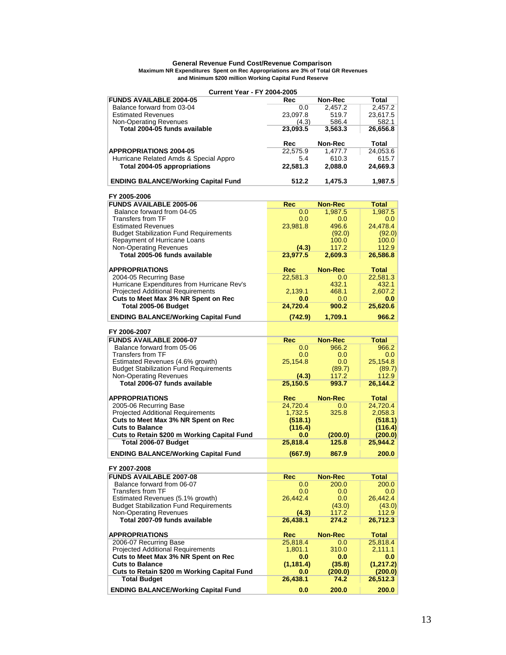#### **Maximum NR Expenditures Spent on Rec Appropriations are 3% of Total GR Revenues General Revenue Fund Cost/Revenue Comparison and Minimum \$200 million Working Capital Fund Reserve**

#### **Current Year - FY 2004-2005**

| <b>FUNDS AVAILABLE 2004-05</b>                | Rec        | Non-Rec        | <b>Total</b> |
|-----------------------------------------------|------------|----------------|--------------|
| Balance forward from 03-04                    | 0.0        | 2,457.2        | 2.457.2      |
| <b>Estimated Revenues</b>                     | 23,097.8   | 519.7          | 23,617.5     |
| Non-Operating Revenues                        | (4.3)      | 586.4          | 582.1        |
| Total 2004-05 funds available                 | 23,093.5   | 3,563.3        | 26,656.8     |
|                                               |            |                |              |
|                                               | Rec        | Non-Rec        | Total        |
| <b>APPROPRIATIONS 2004-05</b>                 | 22,575.9   | 1,477.7        | 24,053.6     |
| Hurricane Related Amds & Special Appro        | 5.4        | 610.3          | 615.7        |
| Total 2004-05 appropriations                  | 22,581.3   | 2,088.0        | 24,669.3     |
|                                               |            |                |              |
|                                               |            |                |              |
| <b>ENDING BALANCE/Working Capital Fund</b>    | 512.2      | 1,475.3        | 1,987.5      |
|                                               |            |                |              |
| FY 2005-2006                                  |            |                |              |
| <b>FUNDS AVAILABLE 2005-06</b>                | Rec        | <b>Non-Rec</b> | Total        |
| Balance forward from 04-05                    | 0.0        | 1,987.5        | 1,987.5      |
| <b>Transfers from TF</b>                      | 0.0        | 0.0            | 0.0          |
| <b>Estimated Revenues</b>                     | 23,981.8   | 496.6          | 24,478.4     |
| <b>Budget Stabilization Fund Requirements</b> |            | (92.0)         | (92.0)       |
| Repayment of Hurricane Loans                  |            | 100.0          | 100.0        |
| <b>Non-Operating Revenues</b>                 | (4.3)      | 117.2          | 112.9        |
| Total 2005-06 funds available                 | 23,977.5   | 2,609.3        | 26,586.8     |
|                                               |            |                |              |
| <b>APPROPRIATIONS</b>                         | <b>Rec</b> | <b>Non-Rec</b> | <b>Total</b> |
|                                               |            |                |              |
| 2004-05 Recurring Base                        | 22,581.3   | 0.0            | 22,581.3     |
| Hurricane Expenditures from Hurricane Rev's   |            | 432.1          | 432.1        |
| <b>Projected Additional Requirements</b>      | 2,139.1    | 468.1          | 2,607.2      |
| Cuts to Meet Max 3% NR Spent on Rec           | 0.0        | 0.0            | 0.0          |
| Total 2005-06 Budget                          | 24,720.4   | 900.2          | 25,620.6     |
| <b>ENDING BALANCE/Working Capital Fund</b>    | (742.9)    | 1,709.1        | 966.2        |
|                                               |            |                |              |
| FY 2006-2007                                  |            |                |              |
| <b>FUNDS AVAILABLE 2006-07</b>                |            | <b>Non-Rec</b> |              |
|                                               | <b>Rec</b> |                | <b>Total</b> |
| Balance forward from 05-06                    | 0.0        | 966.2          | 966.2        |
| Transfers from TF                             | 0.0        | 0.0            | 0.0          |
| Estimated Revenues (4.6% growth)              | 25,154.8   | 0.0            | 25,154.8     |
| <b>Budget Stabilization Fund Requirements</b> |            | (89.7)         | (89.7)       |
| <b>Non-Operating Revenues</b>                 | (4.3)      | 117.2          | 112.9        |
| Total 2006-07 funds available                 | 25,150.5   | 993.7          | 26,144.2     |
|                                               |            |                |              |
| <b>APPROPRIATIONS</b>                         | <b>Rec</b> | <b>Non-Rec</b> | <b>Total</b> |
| 2005-06 Recurring Base                        | 24,720.4   | 0.0            | 24,720.4     |
| <b>Projected Additional Requirements</b>      | 1,732.5    | 325.8          | 2,058.3      |
| Cuts to Meet Max 3% NR Spent on Rec           | (518.1)    |                | (518.1)      |
| <b>Cuts to Balance</b>                        |            |                |              |
|                                               | (116.4)    |                | (116.4)      |
| Cuts to Retain \$200 m Working Capital Fund   | 0.0        | (200.0)        | (200.0)      |
| Total 2006-07 Budget                          | 25,818.4   | 125.8          | 25,944.2     |
| <b>ENDING BALANCE/Working Capital Fund</b>    | (667.9)    | 867.9          | 200.0        |
|                                               |            |                |              |
| FY 2007-2008                                  |            |                |              |
| <b>FUNDS AVAILABLE 2007-08</b>                | <b>Rec</b> | <b>Non-Rec</b> | <b>Total</b> |
|                                               |            |                |              |
| Balance forward from 06-07                    | 0.0        | 200.0          | 200.0        |
| Transfers from TF                             | 0.0        | 0.0            | 0.0          |
| Estimated Revenues (5.1% growth)              | 26,442.4   | 0.0            | 26,442.4     |
| <b>Budget Stabilization Fund Requirements</b> |            | (43.0)         | (43.0)       |
| Non-Operating Revenues                        | (4.3)      | 117.2          | 112.9        |
| Total 2007-09 funds available                 | 26,438.1   | 274.2          | 26,712.3     |
|                                               |            |                |              |
| <b>APPROPRIATIONS</b>                         | <b>Rec</b> | <b>Non-Rec</b> | <b>Total</b> |
| 2006-07 Recurring Base                        | 25,818.4   | 0.0            | 25,818.4     |
| <b>Projected Additional Requirements</b>      | 1,801.1    | 310.0          | 2.111.1      |
| Cuts to Meet Max 3% NR Spent on Rec           | 0.0        | 0.0            | 0.0          |
| <b>Cuts to Balance</b>                        | (1, 181.4) | (35.8)         | (1, 217.2)   |
|                                               |            |                |              |
| Cuts to Retain \$200 m Working Capital Fund   | $0.0\,$    | (200.0)        | (200.0)      |
| <b>Total Budget</b>                           | 26,438.1   | 74.2           | 26,512.3     |
| <b>ENDING BALANCE/Working Capital Fund</b>    | 0.0        | 200.0          | 200.0        |
|                                               |            |                |              |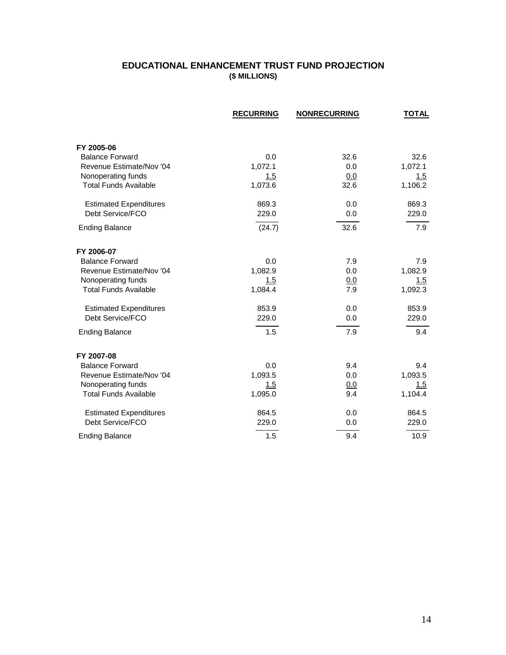### **EDUCATIONAL ENHANCEMENT TRUST FUND PROJECTION (\$ MILLIONS)**

|                                      | <b>RECURRING</b> | <b>NONRECURRING</b> | <b>TOTAL</b> |
|--------------------------------------|------------------|---------------------|--------------|
|                                      |                  |                     |              |
| FY 2005-06                           |                  |                     |              |
| <b>Balance Forward</b>               | 0.0              | 32.6                | 32.6         |
| Revenue Estimate/Nov '04             | 1,072.1          | 0.0                 | 1,072.1      |
| Nonoperating funds                   | 1.5              | 0.0                 | 1.5          |
| <b>Total Funds Available</b>         | 1,073.6          | 32.6                | 1,106.2      |
| <b>Estimated Expenditures</b>        | 869.3            | 0.0                 | 869.3        |
| Debt Service/FCO                     | 229.0            | 0.0                 | 229.0        |
| <b>Ending Balance</b>                | (24.7)           | 32.6                | 7.9          |
| FY 2006-07                           |                  |                     |              |
| <b>Balance Forward</b>               | 0.0              | 7.9                 | 7.9          |
| Revenue Estimate/Nov '04             | 1,082.9          | 0.0                 | 1,082.9      |
| Nonoperating funds                   | 1.5              | 0.0                 | 1.5          |
| <b>Total Funds Available</b>         | 1,084.4          | 7.9                 | 1,092.3      |
| <b>Estimated Expenditures</b>        | 853.9            | 0.0                 | 853.9        |
| Debt Service/FCO                     | 229.0            | 0.0                 | 229.0        |
| <b>Ending Balance</b>                | 1.5              | 7.9                 | 9.4          |
|                                      |                  |                     |              |
| FY 2007-08<br><b>Balance Forward</b> | 0.0              | 9.4                 | 9.4          |
| Revenue Estimate/Nov '04             | 1,093.5          | 0.0                 | 1,093.5      |
| Nonoperating funds                   | 1.5              | 0.0                 | 1.5          |
| <b>Total Funds Available</b>         | 1,095.0          | 9.4                 | 1,104.4      |
|                                      |                  |                     |              |
| <b>Estimated Expenditures</b>        | 864.5            | 0.0                 | 864.5        |
| Debt Service/FCO                     | 229.0            | 0.0                 | 229.0        |
| <b>Ending Balance</b>                | 1.5              | 9.4                 | 10.9         |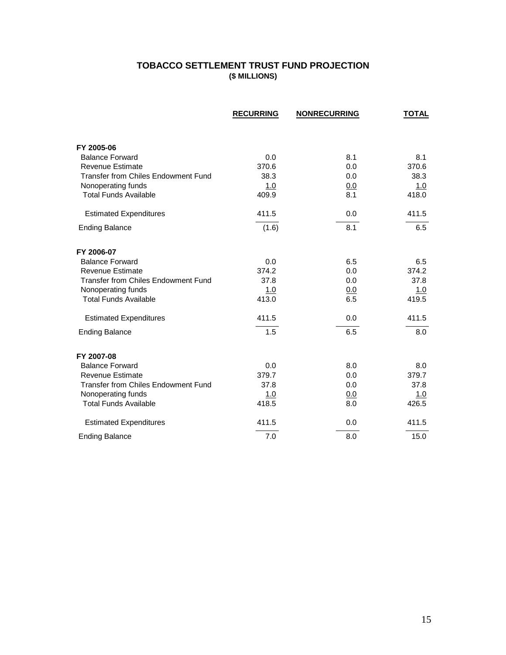### **TOBACCO SETTLEMENT TRUST FUND PROJECTION (\$ MILLIONS)**

|                                                   | <b>RECURRING</b> | <b>NONRECURRING</b> | <b>TOTAL</b> |
|---------------------------------------------------|------------------|---------------------|--------------|
|                                                   |                  |                     |              |
| FY 2005-06                                        |                  |                     |              |
| <b>Balance Forward</b><br><b>Revenue Estimate</b> | 0.0<br>370.6     | 8.1<br>0.0          | 8.1<br>370.6 |
| <b>Transfer from Chiles Endowment Fund</b>        | 38.3             | 0.0                 | 38.3         |
| Nonoperating funds                                | 1.0              | 0.0                 | 1.0          |
| <b>Total Funds Available</b>                      | 409.9            | 8.1                 | 418.0        |
| <b>Estimated Expenditures</b>                     | 411.5            | 0.0                 | 411.5        |
| <b>Ending Balance</b>                             | (1.6)            | 8.1                 | 6.5          |
| FY 2006-07                                        |                  |                     |              |
| <b>Balance Forward</b>                            | 0.0              | 6.5                 | 6.5          |
| <b>Revenue Estimate</b>                           | 374.2            | 0.0                 | 374.2        |
| <b>Transfer from Chiles Endowment Fund</b>        | 37.8             | 0.0                 | 37.8         |
| Nonoperating funds                                | 1.0              | 0.0                 | 1.0          |
| <b>Total Funds Available</b>                      | 413.0            | 6.5                 | 419.5        |
| <b>Estimated Expenditures</b>                     | 411.5            | 0.0                 | 411.5        |
| <b>Ending Balance</b>                             | 1.5              | 6.5                 | 8.0          |
| FY 2007-08                                        |                  |                     |              |
| <b>Balance Forward</b>                            | 0.0              | 8.0                 | 8.0          |
| <b>Revenue Estimate</b>                           | 379.7            | 0.0                 | 379.7        |
| <b>Transfer from Chiles Endowment Fund</b>        | 37.8             | 0.0                 | 37.8         |
| Nonoperating funds                                | 1.0              | <u>0.0</u>          | 1.0          |
| <b>Total Funds Available</b>                      | 418.5            | 8.0                 | 426.5        |
| <b>Estimated Expenditures</b>                     | 411.5            | 0.0                 | 411.5        |
| <b>Ending Balance</b>                             | 7.0              | 8.0                 | 15.0         |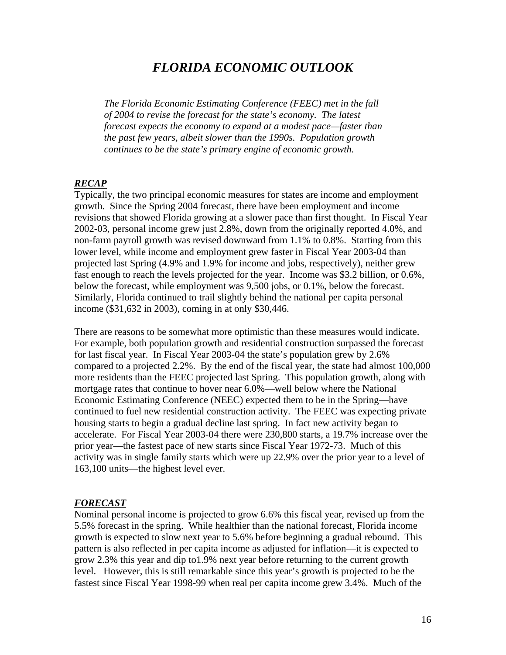## *FLORIDA ECONOMIC OUTLOOK*

*The Florida Economic Estimating Conference (FEEC) met in the fall of 2004 to revise the forecast for the state's economy. The latest forecast expects the economy to expand at a modest pace—faster than the past few years, albeit slower than the 1990s. Population growth continues to be the state's primary engine of economic growth.* 

#### *RECAP*

Typically, the two principal economic measures for states are income and employment growth. Since the Spring 2004 forecast, there have been employment and income revisions that showed Florida growing at a slower pace than first thought. In Fiscal Year 2002-03, personal income grew just 2.8%, down from the originally reported 4.0%, and non-farm payroll growth was revised downward from 1.1% to 0.8%. Starting from this lower level, while income and employment grew faster in Fiscal Year 2003-04 than projected last Spring (4.9% and 1.9% for income and jobs, respectively), neither grew fast enough to reach the levels projected for the year. Income was \$3.2 billion, or 0.6%, below the forecast, while employment was 9,500 jobs, or 0.1%, below the forecast. Similarly, Florida continued to trail slightly behind the national per capita personal income (\$31,632 in 2003), coming in at only \$30,446.

There are reasons to be somewhat more optimistic than these measures would indicate. For example, both population growth and residential construction surpassed the forecast for last fiscal year. In Fiscal Year 2003-04 the state's population grew by 2.6% compared to a projected 2.2%. By the end of the fiscal year, the state had almost 100,000 more residents than the FEEC projected last Spring. This population growth, along with mortgage rates that continue to hover near 6.0%—well below where the National Economic Estimating Conference (NEEC) expected them to be in the Spring—have continued to fuel new residential construction activity. The FEEC was expecting private housing starts to begin a gradual decline last spring. In fact new activity began to accelerate. For Fiscal Year 2003-04 there were 230,800 starts, a 19.7% increase over the prior year—the fastest pace of new starts since Fiscal Year 1972-73. Much of this activity was in single family starts which were up 22.9% over the prior year to a level of 163,100 units—the highest level ever.

#### *FORECAST*

Nominal personal income is projected to grow 6.6% this fiscal year, revised up from the 5.5% forecast in the spring. While healthier than the national forecast, Florida income growth is expected to slow next year to 5.6% before beginning a gradual rebound. This pattern is also reflected in per capita income as adjusted for inflation—it is expected to grow 2.3% this year and dip to1.9% next year before returning to the current growth level. However, this is still remarkable since this year's growth is projected to be the fastest since Fiscal Year 1998-99 when real per capita income grew 3.4%. Much of the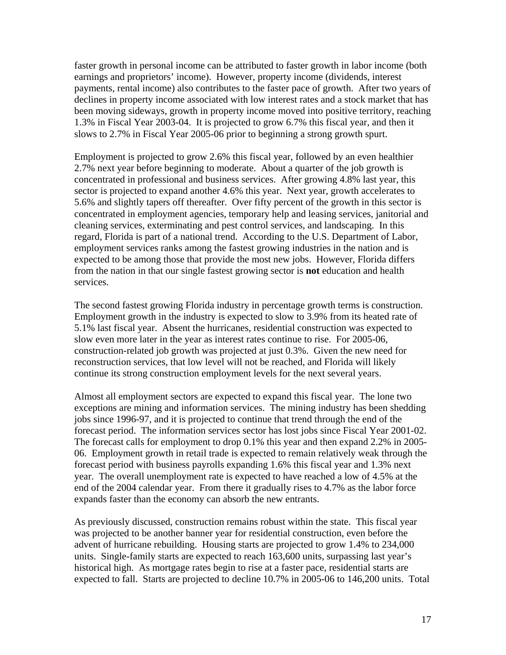faster growth in personal income can be attributed to faster growth in labor income (both earnings and proprietors' income). However, property income (dividends, interest payments, rental income) also contributes to the faster pace of growth. After two years of declines in property income associated with low interest rates and a stock market that has been moving sideways, growth in property income moved into positive territory, reaching 1.3% in Fiscal Year 2003-04. It is projected to grow 6.7% this fiscal year, and then it slows to 2.7% in Fiscal Year 2005-06 prior to beginning a strong growth spurt.

Employment is projected to grow 2.6% this fiscal year, followed by an even healthier 2.7% next year before beginning to moderate. About a quarter of the job growth is concentrated in professional and business services. After growing 4.8% last year, this sector is projected to expand another 4.6% this year. Next year, growth accelerates to 5.6% and slightly tapers off thereafter. Over fifty percent of the growth in this sector is concentrated in employment agencies, temporary help and leasing services, janitorial and cleaning services, exterminating and pest control services, and landscaping. In this regard, Florida is part of a national trend. According to the U.S. Department of Labor, employment services ranks among the fastest growing industries in the nation and is expected to be among those that provide the most new jobs. However, Florida differs from the nation in that our single fastest growing sector is **not** education and health services.

The second fastest growing Florida industry in percentage growth terms is construction. Employment growth in the industry is expected to slow to 3.9% from its heated rate of 5.1% last fiscal year. Absent the hurricanes, residential construction was expected to slow even more later in the year as interest rates continue to rise. For 2005-06, construction-related job growth was projected at just 0.3%. Given the new need for reconstruction services, that low level will not be reached, and Florida will likely continue its strong construction employment levels for the next several years.

Almost all employment sectors are expected to expand this fiscal year. The lone two exceptions are mining and information services. The mining industry has been shedding jobs since 1996-97, and it is projected to continue that trend through the end of the forecast period. The information services sector has lost jobs since Fiscal Year 2001-02. The forecast calls for employment to drop 0.1% this year and then expand 2.2% in 2005- 06. Employment growth in retail trade is expected to remain relatively weak through the forecast period with business payrolls expanding 1.6% this fiscal year and 1.3% next year. The overall unemployment rate is expected to have reached a low of 4.5% at the end of the 2004 calendar year. From there it gradually rises to 4.7% as the labor force expands faster than the economy can absorb the new entrants.

As previously discussed, construction remains robust within the state. This fiscal year was projected to be another banner year for residential construction, even before the advent of hurricane rebuilding. Housing starts are projected to grow 1.4% to 234,000 units. Single-family starts are expected to reach 163,600 units, surpassing last year's historical high. As mortgage rates begin to rise at a faster pace, residential starts are expected to fall. Starts are projected to decline 10.7% in 2005-06 to 146,200 units. Total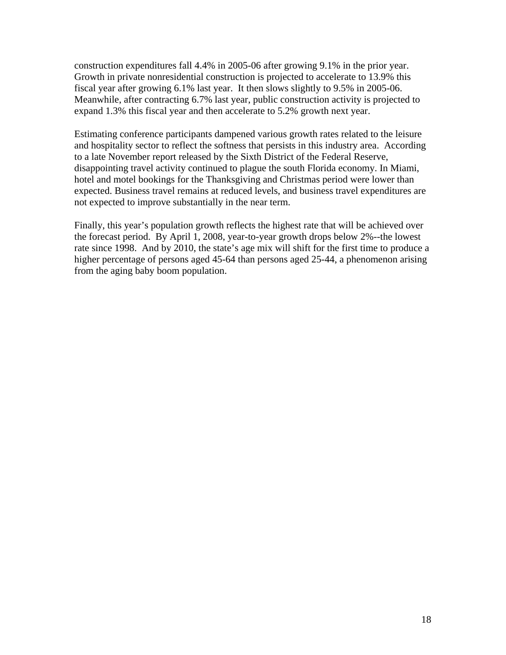construction expenditures fall 4.4% in 2005-06 after growing 9.1% in the prior year. Growth in private nonresidential construction is projected to accelerate to 13.9% this fiscal year after growing 6.1% last year. It then slows slightly to 9.5% in 2005-06. Meanwhile, after contracting 6.7% last year, public construction activity is projected to expand 1.3% this fiscal year and then accelerate to 5.2% growth next year.

Estimating conference participants dampened various growth rates related to the leisure and hospitality sector to reflect the softness that persists in this industry area. According to a late November report released by the Sixth District of the Federal Reserve, disappointing travel activity continued to plague the south Florida economy. In Miami, hotel and motel bookings for the Thanksgiving and Christmas period were lower than expected. Business travel remains at reduced levels, and business travel expenditures are not expected to improve substantially in the near term.

Finally, this year's population growth reflects the highest rate that will be achieved over the forecast period. By April 1, 2008, year-to-year growth drops below 2%--the lowest rate since 1998. And by 2010, the state's age mix will shift for the first time to produce a higher percentage of persons aged 45-64 than persons aged 25-44, a phenomenon arising from the aging baby boom population.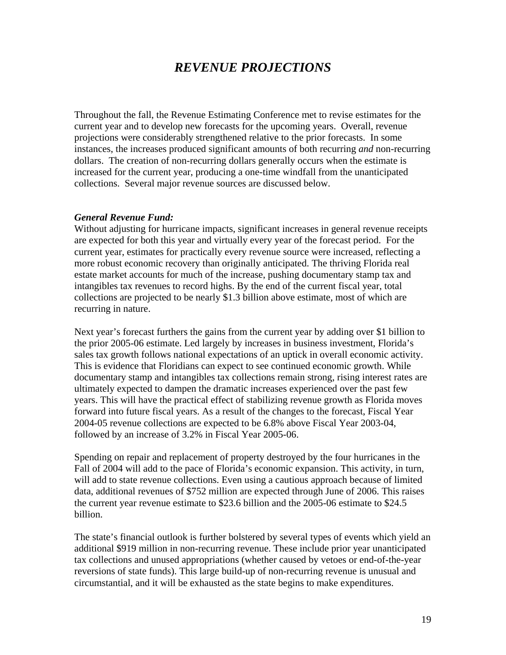# *REVENUE PROJECTIONS*

Throughout the fall, the Revenue Estimating Conference met to revise estimates for the current year and to develop new forecasts for the upcoming years. Overall, revenue projections were considerably strengthened relative to the prior forecasts. In some instances, the increases produced significant amounts of both recurring *and* non-recurring dollars. The creation of non-recurring dollars generally occurs when the estimate is increased for the current year, producing a one-time windfall from the unanticipated collections. Several major revenue sources are discussed below.

#### *General Revenue Fund:*

Without adjusting for hurricane impacts, significant increases in general revenue receipts are expected for both this year and virtually every year of the forecast period. For the current year, estimates for practically every revenue source were increased, reflecting a more robust economic recovery than originally anticipated. The thriving Florida real estate market accounts for much of the increase, pushing documentary stamp tax and intangibles tax revenues to record highs. By the end of the current fiscal year, total collections are projected to be nearly \$1.3 billion above estimate, most of which are recurring in nature.

Next year's forecast furthers the gains from the current year by adding over \$1 billion to the prior 2005-06 estimate. Led largely by increases in business investment, Florida's sales tax growth follows national expectations of an uptick in overall economic activity. This is evidence that Floridians can expect to see continued economic growth. While documentary stamp and intangibles tax collections remain strong, rising interest rates are ultimately expected to dampen the dramatic increases experienced over the past few years. This will have the practical effect of stabilizing revenue growth as Florida moves forward into future fiscal years. As a result of the changes to the forecast, Fiscal Year 2004-05 revenue collections are expected to be 6.8% above Fiscal Year 2003-04, followed by an increase of 3.2% in Fiscal Year 2005-06.

Spending on repair and replacement of property destroyed by the four hurricanes in the Fall of 2004 will add to the pace of Florida's economic expansion. This activity, in turn, will add to state revenue collections. Even using a cautious approach because of limited data, additional revenues of \$752 million are expected through June of 2006. This raises the current year revenue estimate to \$23.6 billion and the 2005-06 estimate to \$24.5 billion.

The state's financial outlook is further bolstered by several types of events which yield an additional \$919 million in non-recurring revenue. These include prior year unanticipated tax collections and unused appropriations (whether caused by vetoes or end-of-the-year reversions of state funds). This large build-up of non-recurring revenue is unusual and circumstantial, and it will be exhausted as the state begins to make expenditures.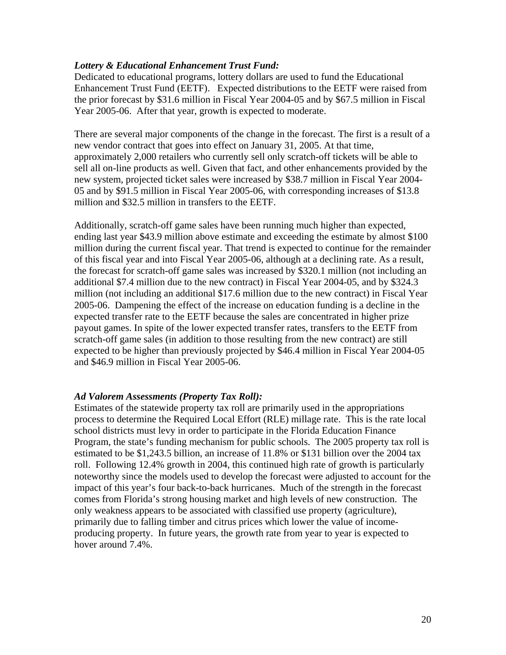#### *Lottery & Educational Enhancement Trust Fund:*

Dedicated to educational programs, lottery dollars are used to fund the Educational Enhancement Trust Fund (EETF). Expected distributions to the EETF were raised from the prior forecast by \$31.6 million in Fiscal Year 2004-05 and by \$67.5 million in Fiscal Year 2005-06. After that year, growth is expected to moderate.

There are several major components of the change in the forecast. The first is a result of a new vendor contract that goes into effect on January 31, 2005. At that time, approximately 2,000 retailers who currently sell only scratch-off tickets will be able to sell all on-line products as well. Given that fact, and other enhancements provided by the new system, projected ticket sales were increased by \$38.7 million in Fiscal Year 2004- 05 and by \$91.5 million in Fiscal Year 2005-06, with corresponding increases of \$13.8 million and \$32.5 million in transfers to the EETF.

Additionally, scratch-off game sales have been running much higher than expected, ending last year \$43.9 million above estimate and exceeding the estimate by almost \$100 million during the current fiscal year. That trend is expected to continue for the remainder of this fiscal year and into Fiscal Year 2005-06, although at a declining rate. As a result, the forecast for scratch-off game sales was increased by \$320.1 million (not including an additional \$7.4 million due to the new contract) in Fiscal Year 2004-05, and by \$324.3 million (not including an additional \$17.6 million due to the new contract) in Fiscal Year 2005-06. Dampening the effect of the increase on education funding is a decline in the expected transfer rate to the EETF because the sales are concentrated in higher prize payout games. In spite of the lower expected transfer rates, transfers to the EETF from scratch-off game sales (in addition to those resulting from the new contract) are still expected to be higher than previously projected by \$46.4 million in Fiscal Year 2004-05 and \$46.9 million in Fiscal Year 2005-06.

#### *Ad Valorem Assessments (Property Tax Roll):*

Estimates of the statewide property tax roll are primarily used in the appropriations process to determine the Required Local Effort (RLE) millage rate. This is the rate local school districts must levy in order to participate in the Florida Education Finance Program, the state's funding mechanism for public schools. The 2005 property tax roll is estimated to be \$1,243.5 billion, an increase of 11.8% or \$131 billion over the 2004 tax roll. Following 12.4% growth in 2004, this continued high rate of growth is particularly noteworthy since the models used to develop the forecast were adjusted to account for the impact of this year's four back-to-back hurricanes. Much of the strength in the forecast comes from Florida's strong housing market and high levels of new construction. The only weakness appears to be associated with classified use property (agriculture), primarily due to falling timber and citrus prices which lower the value of incomeproducing property. In future years, the growth rate from year to year is expected to hover around 7.4%.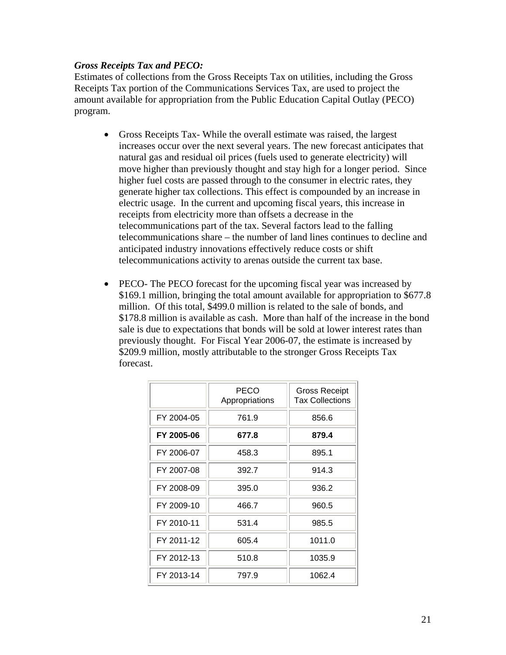#### *Gross Receipts Tax and PECO:*

Estimates of collections from the Gross Receipts Tax on utilities, including the Gross Receipts Tax portion of the Communications Services Tax, are used to project the amount available for appropriation from the Public Education Capital Outlay (PECO) program.

- Gross Receipts Tax- While the overall estimate was raised, the largest increases occur over the next several years. The new forecast anticipates that natural gas and residual oil prices (fuels used to generate electricity) will move higher than previously thought and stay high for a longer period. Since higher fuel costs are passed through to the consumer in electric rates, they generate higher tax collections. This effect is compounded by an increase in electric usage. In the current and upcoming fiscal years, this increase in receipts from electricity more than offsets a decrease in the telecommunications part of the tax. Several factors lead to the falling telecommunications share – the number of land lines continues to decline and anticipated industry innovations effectively reduce costs or shift telecommunications activity to arenas outside the current tax base.
- PECO- The PECO forecast for the upcoming fiscal year was increased by \$169.1 million, bringing the total amount available for appropriation to \$677.8 million. Of this total, \$499.0 million is related to the sale of bonds, and \$178.8 million is available as cash. More than half of the increase in the bond sale is due to expectations that bonds will be sold at lower interest rates than previously thought. For Fiscal Year 2006-07, the estimate is increased by \$209.9 million, mostly attributable to the stronger Gross Receipts Tax forecast.

|            | PECO<br>Appropriations | <b>Gross Receipt</b><br><b>Tax Collections</b> |
|------------|------------------------|------------------------------------------------|
| FY 2004-05 | 761.9                  | 856.6                                          |
| FY 2005-06 | 677.8                  | 879.4                                          |
| FY 2006-07 | 458.3                  | 895.1                                          |
| FY 2007-08 | 392.7                  | 914.3                                          |
| FY 2008-09 | 395.0                  | 936.2                                          |
| FY 2009-10 | 466.7                  | 960.5                                          |
| FY 2010-11 | 531.4                  | 985.5                                          |
| FY 2011-12 | 605.4                  | 1011.0                                         |
| FY 2012-13 | 510.8                  | 1035.9                                         |
| FY 2013-14 | 797.9                  | 1062.4                                         |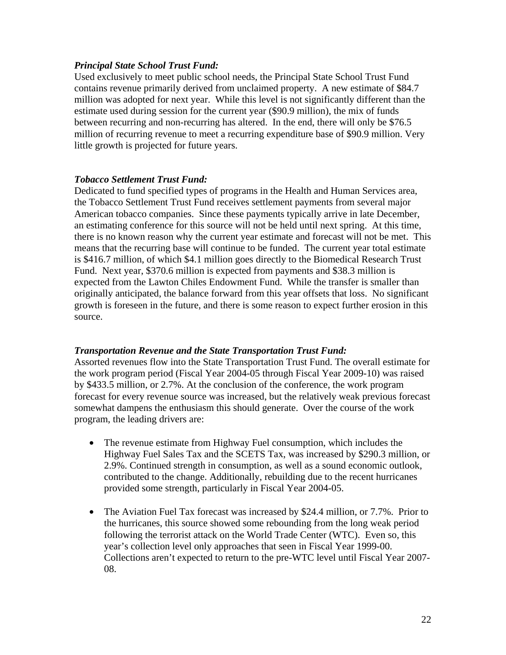#### *Principal State School Trust Fund:*

Used exclusively to meet public school needs, the Principal State School Trust Fund contains revenue primarily derived from unclaimed property. A new estimate of \$84.7 million was adopted for next year. While this level is not significantly different than the estimate used during session for the current year (\$90.9 million), the mix of funds between recurring and non-recurring has altered. In the end, there will only be \$76.5 million of recurring revenue to meet a recurring expenditure base of \$90.9 million. Very little growth is projected for future years.

#### *Tobacco Settlement Trust Fund:*

Dedicated to fund specified types of programs in the Health and Human Services area, the Tobacco Settlement Trust Fund receives settlement payments from several major American tobacco companies. Since these payments typically arrive in late December, an estimating conference for this source will not be held until next spring. At this time, there is no known reason why the current year estimate and forecast will not be met. This means that the recurring base will continue to be funded. The current year total estimate is \$416.7 million, of which \$4.1 million goes directly to the Biomedical Research Trust Fund. Next year, \$370.6 million is expected from payments and \$38.3 million is expected from the Lawton Chiles Endowment Fund. While the transfer is smaller than originally anticipated, the balance forward from this year offsets that loss. No significant growth is foreseen in the future, and there is some reason to expect further erosion in this source.

#### *Transportation Revenue and the State Transportation Trust Fund:*

Assorted revenues flow into the State Transportation Trust Fund. The overall estimate for the work program period (Fiscal Year 2004-05 through Fiscal Year 2009-10) was raised by \$433.5 million, or 2.7%. At the conclusion of the conference, the work program forecast for every revenue source was increased, but the relatively weak previous forecast somewhat dampens the enthusiasm this should generate. Over the course of the work program, the leading drivers are:

- The revenue estimate from Highway Fuel consumption, which includes the Highway Fuel Sales Tax and the SCETS Tax, was increased by \$290.3 million, or 2.9%. Continued strength in consumption, as well as a sound economic outlook, contributed to the change. Additionally, rebuilding due to the recent hurricanes provided some strength, particularly in Fiscal Year 2004-05.
- The Aviation Fuel Tax forecast was increased by \$24.4 million, or 7.7%. Prior to the hurricanes, this source showed some rebounding from the long weak period following the terrorist attack on the World Trade Center (WTC). Even so, this year's collection level only approaches that seen in Fiscal Year 1999-00. Collections aren't expected to return to the pre-WTC level until Fiscal Year 2007- 08.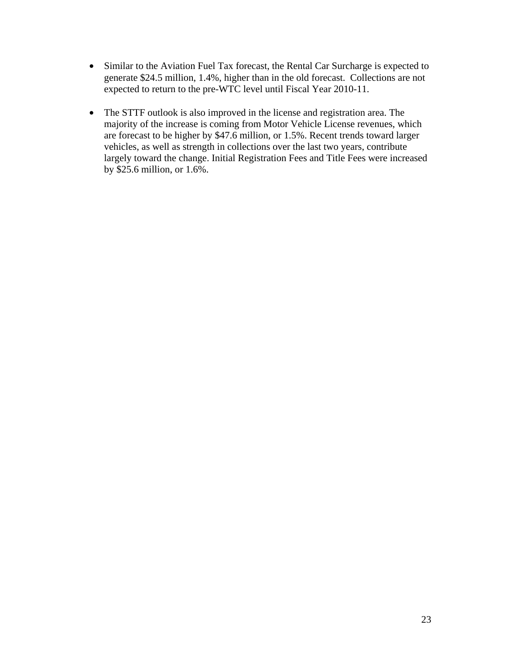- Similar to the Aviation Fuel Tax forecast, the Rental Car Surcharge is expected to generate \$24.5 million, 1.4%, higher than in the old forecast. Collections are not expected to return to the pre-WTC level until Fiscal Year 2010-11.
- The STTF outlook is also improved in the license and registration area. The majority of the increase is coming from Motor Vehicle License revenues, which are forecast to be higher by \$47.6 million, or 1.5%. Recent trends toward larger vehicles, as well as strength in collections over the last two years, contribute largely toward the change. Initial Registration Fees and Title Fees were increased by \$25.6 million, or 1.6%.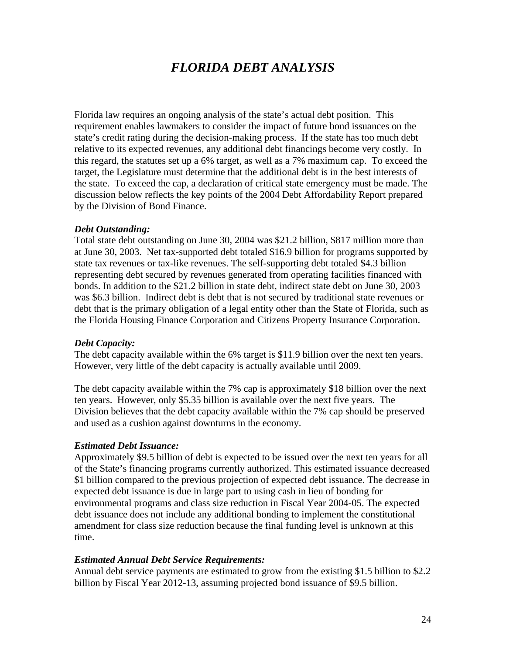# *FLORIDA DEBT ANALYSIS*

Florida law requires an ongoing analysis of the state's actual debt position. This requirement enables lawmakers to consider the impact of future bond issuances on the state's credit rating during the decision-making process. If the state has too much debt relative to its expected revenues, any additional debt financings become very costly. In this regard, the statutes set up a 6% target, as well as a 7% maximum cap. To exceed the target, the Legislature must determine that the additional debt is in the best interests of the state. To exceed the cap, a declaration of critical state emergency must be made. The discussion below reflects the key points of the 2004 Debt Affordability Report prepared by the Division of Bond Finance.

#### *Debt Outstanding:*

Total state debt outstanding on June 30, 2004 was \$21.2 billion, \$817 million more than at June 30, 2003. Net tax-supported debt totaled \$16.9 billion for programs supported by state tax revenues or tax-like revenues. The self-supporting debt totaled \$4.3 billion representing debt secured by revenues generated from operating facilities financed with bonds. In addition to the \$21.2 billion in state debt, indirect state debt on June 30, 2003 was \$6.3 billion. Indirect debt is debt that is not secured by traditional state revenues or debt that is the primary obligation of a legal entity other than the State of Florida, such as the Florida Housing Finance Corporation and Citizens Property Insurance Corporation.

#### *Debt Capacity:*

The debt capacity available within the 6% target is \$11.9 billion over the next ten years. However, very little of the debt capacity is actually available until 2009.

The debt capacity available within the 7% cap is approximately \$18 billion over the next ten years. However, only \$5.35 billion is available over the next five years. The Division believes that the debt capacity available within the 7% cap should be preserved and used as a cushion against downturns in the economy.

#### *Estimated Debt Issuance:*

Approximately \$9.5 billion of debt is expected to be issued over the next ten years for all of the State's financing programs currently authorized. This estimated issuance decreased \$1 billion compared to the previous projection of expected debt issuance. The decrease in expected debt issuance is due in large part to using cash in lieu of bonding for environmental programs and class size reduction in Fiscal Year 2004-05. The expected debt issuance does not include any additional bonding to implement the constitutional amendment for class size reduction because the final funding level is unknown at this time.

#### *Estimated Annual Debt Service Requirements:*

Annual debt service payments are estimated to grow from the existing \$1.5 billion to \$2.2 billion by Fiscal Year 2012-13, assuming projected bond issuance of \$9.5 billion.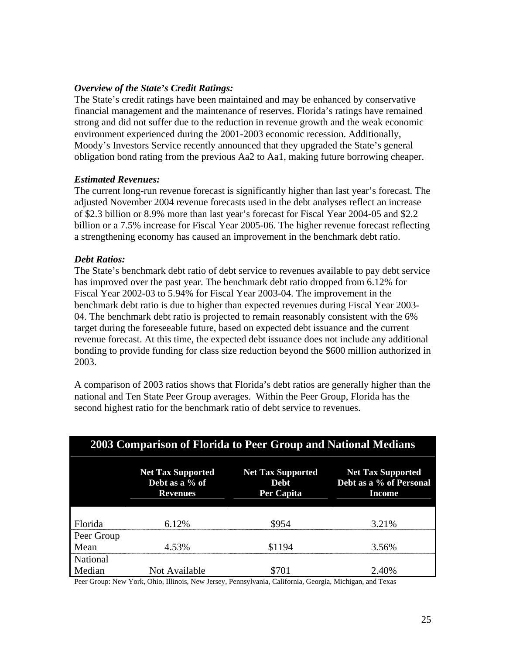#### *Overview of the State's Credit Ratings:*

The State's credit ratings have been maintained and may be enhanced by conservative financial management and the maintenance of reserves. Florida's ratings have remained strong and did not suffer due to the reduction in revenue growth and the weak economic environment experienced during the 2001-2003 economic recession. Additionally, Moody's Investors Service recently announced that they upgraded the State's general obligation bond rating from the previous Aa2 to Aa1, making future borrowing cheaper.

#### *Estimated Revenues:*

The current long-run revenue forecast is significantly higher than last year's forecast. The adjusted November 2004 revenue forecasts used in the debt analyses reflect an increase of \$2.3 billion or 8.9% more than last year's forecast for Fiscal Year 2004-05 and \$2.2 billion or a 7.5% increase for Fiscal Year 2005-06. The higher revenue forecast reflecting a strengthening economy has caused an improvement in the benchmark debt ratio.

#### *Debt Ratios:*

The State's benchmark debt ratio of debt service to revenues available to pay debt service has improved over the past year. The benchmark debt ratio dropped from 6.12% for Fiscal Year 2002-03 to 5.94% for Fiscal Year 2003-04. The improvement in the benchmark debt ratio is due to higher than expected revenues during Fiscal Year 2003- 04. The benchmark debt ratio is projected to remain reasonably consistent with the 6% target during the foreseeable future, based on expected debt issuance and the current revenue forecast. At this time, the expected debt issuance does not include any additional bonding to provide funding for class size reduction beyond the \$600 million authorized in 2003.

A comparison of 2003 ratios shows that Florida's debt ratios are generally higher than the national and Ten State Peer Group averages. Within the Peer Group, Florida has the second highest ratio for the benchmark ratio of debt service to revenues.

| 2003 Comparison of Florida to Peer Group and National Medians |                                                               |                                                       |                                                               |  |  |  |
|---------------------------------------------------------------|---------------------------------------------------------------|-------------------------------------------------------|---------------------------------------------------------------|--|--|--|
|                                                               | <b>Net Tax Supported</b><br>Debt as a % of<br><b>Revenues</b> | <b>Net Tax Supported</b><br><b>Debt</b><br>Per Capita | <b>Net Tax Supported</b><br>Debt as a % of Personal<br>Income |  |  |  |
|                                                               |                                                               |                                                       |                                                               |  |  |  |
| Florida                                                       | 612%                                                          | \$954                                                 | 3.21%                                                         |  |  |  |
| Peer Group                                                    |                                                               |                                                       |                                                               |  |  |  |
| Mean                                                          | 4.53%                                                         | \$1194                                                | 3.56%                                                         |  |  |  |
| National                                                      |                                                               |                                                       |                                                               |  |  |  |
| Median                                                        | Not Available                                                 | \$701                                                 | 2.40%                                                         |  |  |  |

Peer Group: New York, Ohio, Illinois, New Jersey, Pennsylvania, California, Georgia, Michigan, and Texas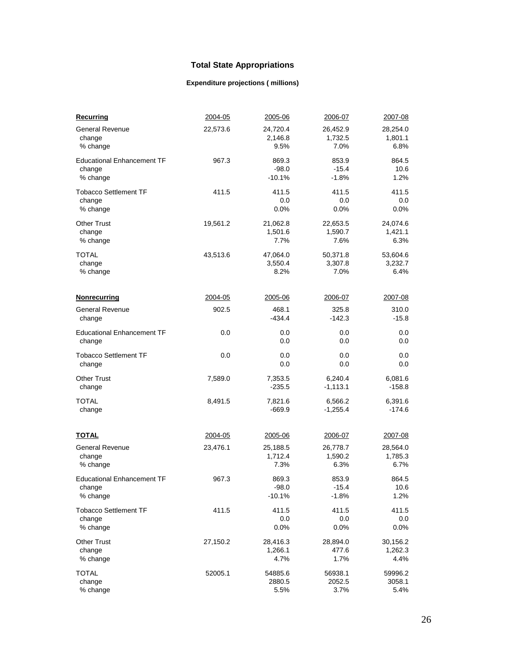### **Total State Appropriations**

### **Expenditure projections ( millions)**

| Recurring                         | 2004-05  | 2005-06  | 2006-07    | 2007-08  |
|-----------------------------------|----------|----------|------------|----------|
| <b>General Revenue</b>            | 22,573.6 | 24,720.4 | 26,452.9   | 28,254.0 |
| change                            |          | 2,146.8  | 1,732.5    | 1,801.1  |
| % change                          |          | 9.5%     | 7.0%       | 6.8%     |
| <b>Educational Enhancement TF</b> | 967.3    | 869.3    | 853.9      | 864.5    |
| change                            |          | $-98.0$  | $-15.4$    | 10.6     |
| % change                          |          | -10.1%   | $-1.8%$    | 1.2%     |
| <b>Tobacco Settlement TF</b>      | 411.5    | 411.5    | 411.5      | 411.5    |
| change                            |          | 0.0      | 0.0        | 0.0      |
| % change                          |          | 0.0%     | 0.0%       | 0.0%     |
| <b>Other Trust</b>                | 19,561.2 | 21,062.8 | 22,653.5   | 24,074.6 |
| change                            |          | 1,501.6  | 1,590.7    | 1,421.1  |
| % change                          |          | 7.7%     | 7.6%       | 6.3%     |
| TOTAL                             | 43,513.6 | 47,064.0 | 50,371.8   | 53,604.6 |
| change                            |          | 3,550.4  | 3,307.8    | 3,232.7  |
| % change                          |          | 8.2%     | 7.0%       | 6.4%     |
| <b>Nonrecurring</b>               | 2004-05  | 2005-06  | 2006-07    | 2007-08  |
| <b>General Revenue</b>            | 902.5    | 468.1    | 325.8      | 310.0    |
| change                            |          | $-434.4$ | $-142.3$   | $-15.8$  |
| <b>Educational Enhancement TF</b> | 0.0      | 0.0      | 0.0        | 0.0      |
| change                            |          | 0.0      | 0.0        | 0.0      |
| Tobacco Settlement TF             | 0.0      | 0.0      | 0.0        | 0.0      |
| change                            |          | 0.0      | 0.0        | 0.0      |
| <b>Other Trust</b>                | 7,589.0  | 7,353.5  | 6,240.4    | 6,081.6  |
| change                            |          | $-235.5$ | $-1,113.1$ | $-158.8$ |
| <b>TOTAL</b>                      | 8,491.5  | 7,821.6  | 6,566.2    | 6,391.6  |
| change                            |          | $-669.9$ | $-1,255.4$ | $-174.6$ |
| <u>TOTAL</u>                      | 2004-05  | 2005-06  | 2006-07    | 2007-08  |
| <b>General Revenue</b>            | 23,476.1 | 25,188.5 | 26,778.7   | 28,564.0 |
| change                            |          | 1,712.4  | 1,590.2    | 1,785.3  |
| % change                          |          | 7.3%     | 6.3%       | 6.7%     |
| <b>Educational Enhancement TF</b> | 967.3    | 869.3    | 853.9      | 864.5    |
| change                            |          | $-98.0$  | $-15.4$    | 10.6     |
| % change                          |          | $-10.1%$ | $-1.8%$    | 1.2%     |
| <b>Tobacco Settlement TF</b>      | 411.5    | 411.5    | 411.5      | 411.5    |
| change                            |          | 0.0      | 0.0        | 0.0      |
| % change                          |          | 0.0%     | 0.0%       | 0.0%     |
| <b>Other Trust</b>                | 27,150.2 | 28,416.3 | 28,894.0   | 30,156.2 |
| change                            |          | 1,266.1  | 477.6      | 1,262.3  |
| % change                          |          | 4.7%     | 1.7%       | 4.4%     |
| TOTAL                             | 52005.1  | 54885.6  | 56938.1    | 59996.2  |
| change                            |          | 2880.5   | 2052.5     | 3058.1   |
| % change                          |          | 5.5%     | 3.7%       | 5.4%     |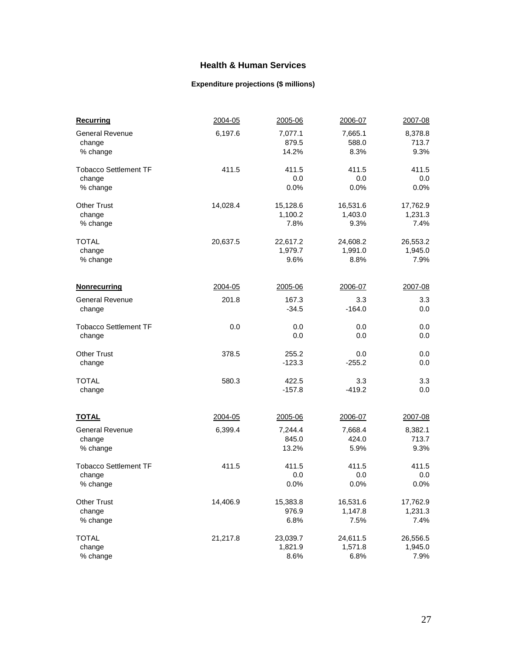#### **Health & Human Services**

#### **Expenditure projections (\$ millions)**

| <b>Recurring</b>             | 2004-05  | 2005-06  | 2006-07  | 2007-08  |
|------------------------------|----------|----------|----------|----------|
| <b>General Revenue</b>       | 6,197.6  | 7,077.1  | 7,665.1  | 8,378.8  |
| change                       |          | 879.5    | 588.0    | 713.7    |
| % change                     |          | 14.2%    | 8.3%     | 9.3%     |
| <b>Tobacco Settlement TF</b> | 411.5    | 411.5    | 411.5    | 411.5    |
| change                       |          | 0.0      | 0.0      | 0.0      |
| % change                     |          | 0.0%     | 0.0%     | 0.0%     |
| <b>Other Trust</b>           | 14,028.4 | 15,128.6 | 16,531.6 | 17,762.9 |
| change                       |          | 1,100.2  | 1,403.0  | 1,231.3  |
| % change                     |          | 7.8%     | 9.3%     | 7.4%     |
| <b>TOTAL</b>                 | 20,637.5 | 22,617.2 | 24,608.2 | 26,553.2 |
| change                       |          | 1,979.7  | 1,991.0  | 1,945.0  |
| % change                     |          | 9.6%     | 8.8%     | 7.9%     |
| <b>Nonrecurring</b>          | 2004-05  | 2005-06  | 2006-07  | 2007-08  |
| <b>General Revenue</b>       | 201.8    | 167.3    | 3.3      | 3.3      |
| change                       |          | $-34.5$  | $-164.0$ | 0.0      |
| <b>Tobacco Settlement TF</b> | 0.0      | 0.0      | 0.0      | 0.0      |
| change                       |          | 0.0      | 0.0      | $0.0\,$  |
| <b>Other Trust</b>           | 378.5    | 255.2    | 0.0      | 0.0      |
| change                       |          | $-123.3$ | $-255.2$ | 0.0      |
| <b>TOTAL</b>                 | 580.3    | 422.5    | 3.3      | 3.3      |
| change                       |          | $-157.8$ | $-419.2$ | 0.0      |
| <b>TOTAL</b>                 | 2004-05  | 2005-06  | 2006-07  | 2007-08  |
| <b>General Revenue</b>       | 6,399.4  | 7,244.4  | 7,668.4  | 8,382.1  |
| change                       |          | 845.0    | 424.0    | 713.7    |
| % change                     |          | 13.2%    | 5.9%     | 9.3%     |
| <b>Tobacco Settlement TF</b> | 411.5    | 411.5    | 411.5    | 411.5    |
| change                       |          | 0.0      | 0.0      | 0.0      |
| % change                     |          | 0.0%     | 0.0%     | 0.0%     |
| <b>Other Trust</b>           | 14,406.9 | 15,383.8 | 16,531.6 | 17,762.9 |
| change                       |          | 976.9    | 1,147.8  | 1,231.3  |
| % change                     |          | 6.8%     | 7.5%     | 7.4%     |
| <b>TOTAL</b>                 | 21,217.8 | 23,039.7 | 24,611.5 | 26,556.5 |
| change                       |          | 1,821.9  | 1,571.8  | 1,945.0  |
| % change                     |          | 8.6%     | 6.8%     | 7.9%     |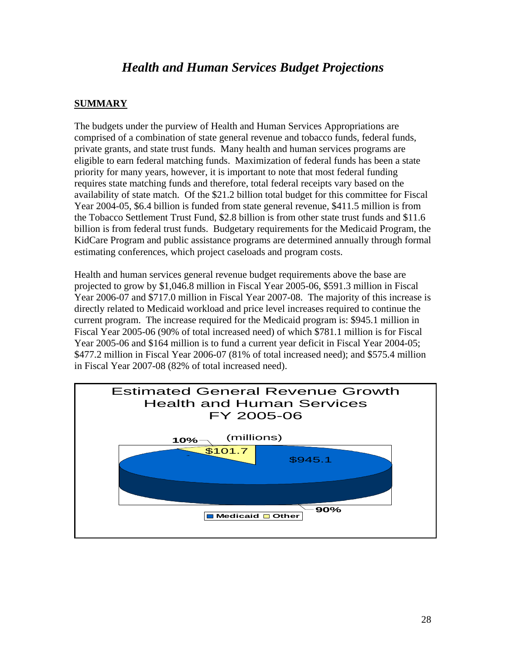# *Health and Human Services Budget Projections*

#### **SUMMARY**

The budgets under the purview of Health and Human Services Appropriations are comprised of a combination of state general revenue and tobacco funds, federal funds, private grants, and state trust funds. Many health and human services programs are eligible to earn federal matching funds. Maximization of federal funds has been a state priority for many years, however, it is important to note that most federal funding requires state matching funds and therefore, total federal receipts vary based on the availability of state match. Of the \$21.2 billion total budget for this committee for Fiscal Year 2004-05, \$6.4 billion is funded from state general revenue, \$411.5 million is from the Tobacco Settlement Trust Fund, \$2.8 billion is from other state trust funds and \$11.6 billion is from federal trust funds. Budgetary requirements for the Medicaid Program, the KidCare Program and public assistance programs are determined annually through formal estimating conferences, which project caseloads and program costs.

Health and human services general revenue budget requirements above the base are projected to grow by \$1,046.8 million in Fiscal Year 2005-06, \$591.3 million in Fiscal Year 2006-07 and \$717.0 million in Fiscal Year 2007-08. The majority of this increase is directly related to Medicaid workload and price level increases required to continue the current program. The increase required for the Medicaid program is: \$945.1 million in Fiscal Year 2005-06 (90% of total increased need) of which \$781.1 million is for Fiscal Year 2005-06 and \$164 million is to fund a current year deficit in Fiscal Year 2004-05; \$477.2 million in Fiscal Year 2006-07 (81% of total increased need); and \$575.4 million in Fiscal Year 2007-08 (82% of total increased need).

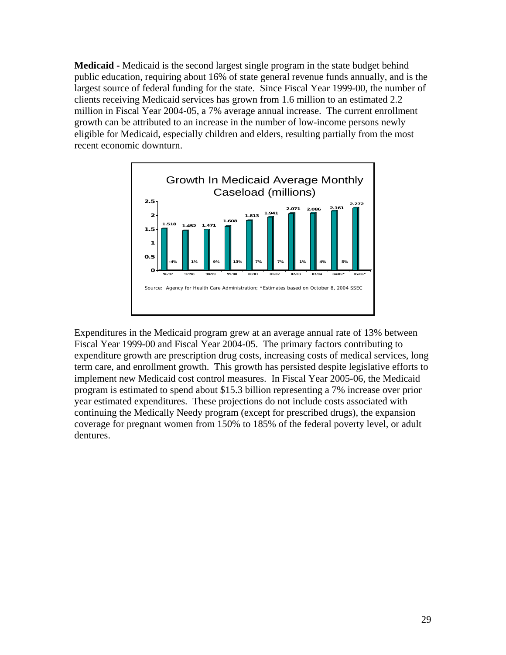**Medicaid -** Medicaid is the second largest single program in the state budget behind public education, requiring about 16% of state general revenue funds annually, and is the largest source of federal funding for the state. Since Fiscal Year 1999-00, the number of clients receiving Medicaid services has grown from 1.6 million to an estimated 2.2 million in Fiscal Year 2004-05, a 7% average annual increase. The current enrollment growth can be attributed to an increase in the number of low-income persons newly eligible for Medicaid, especially children and elders, resulting partially from the most recent economic downturn.



Expenditures in the Medicaid program grew at an average annual rate of 13% between Fiscal Year 1999-00 and Fiscal Year 2004-05. The primary factors contributing to expenditure growth are prescription drug costs, increasing costs of medical services, long term care, and enrollment growth. This growth has persisted despite legislative efforts to implement new Medicaid cost control measures. In Fiscal Year 2005-06, the Medicaid program is estimated to spend about \$15.3 billion representing a 7% increase over prior year estimated expenditures. These projections do not include costs associated with continuing the Medically Needy program (except for prescribed drugs), the expansion coverage for pregnant women from 150% to 185% of the federal poverty level, or adult dentures.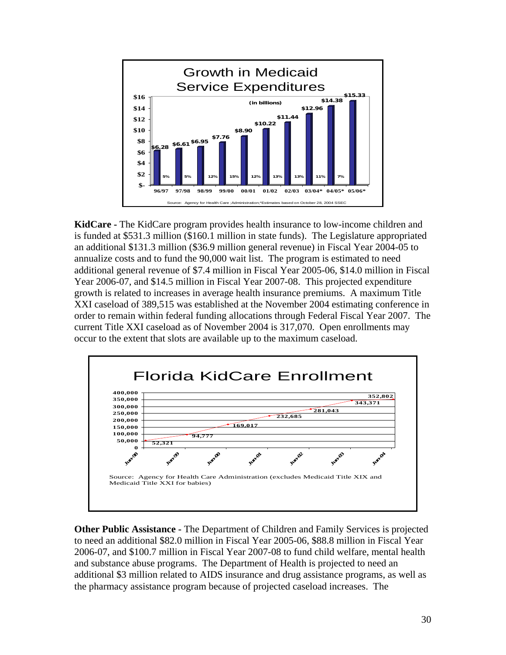

**KidCare -** The KidCare program provides health insurance to low-income children and is funded at \$531.3 million (\$160.1 million in state funds). The Legislature appropriated an additional \$131.3 million (\$36.9 million general revenue) in Fiscal Year 2004-05 to annualize costs and to fund the 90,000 wait list. The program is estimated to need additional general revenue of \$7.4 million in Fiscal Year 2005-06, \$14.0 million in Fiscal Year 2006-07, and \$14.5 million in Fiscal Year 2007-08. This projected expenditure growth is related to increases in average health insurance premiums. A maximum Title XXI caseload of 389,515 was established at the November 2004 estimating conference in order to remain within federal funding allocations through Federal Fiscal Year 2007. The current Title XXI caseload as of November 2004 is 317,070. Open enrollments may occur to the extent that slots are available up to the maximum caseload.



**Other Public Assistance -** The Department of Children and Family Services is projected to need an additional \$82.0 million in Fiscal Year 2005-06, \$88.8 million in Fiscal Year 2006-07, and \$100.7 million in Fiscal Year 2007-08 to fund child welfare, mental health and substance abuse programs. The Department of Health is projected to need an additional \$3 million related to AIDS insurance and drug assistance programs, as well as the pharmacy assistance program because of projected caseload increases. The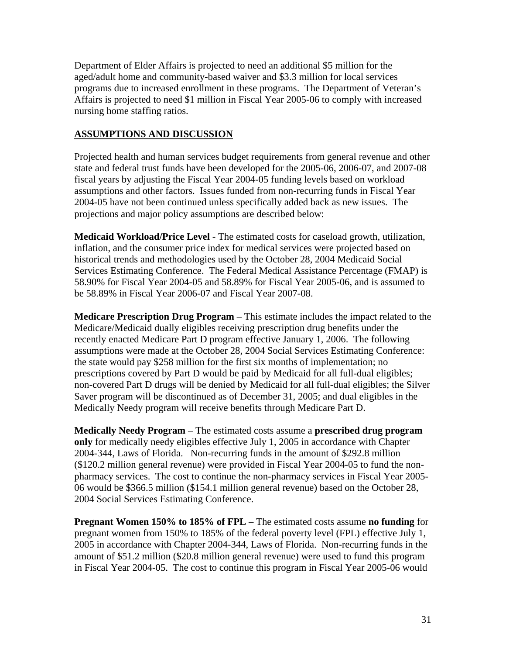Department of Elder Affairs is projected to need an additional \$5 million for the aged/adult home and community-based waiver and \$3.3 million for local services programs due to increased enrollment in these programs. The Department of Veteran's Affairs is projected to need \$1 million in Fiscal Year 2005-06 to comply with increased nursing home staffing ratios.

#### **ASSUMPTIONS AND DISCUSSION**

Projected health and human services budget requirements from general revenue and other state and federal trust funds have been developed for the 2005-06, 2006-07, and 2007-08 fiscal years by adjusting the Fiscal Year 2004-05 funding levels based on workload assumptions and other factors. Issues funded from non-recurring funds in Fiscal Year 2004-05 have not been continued unless specifically added back as new issues. The projections and major policy assumptions are described below:

**Medicaid Workload/Price Level** - The estimated costs for caseload growth, utilization, inflation, and the consumer price index for medical services were projected based on historical trends and methodologies used by the October 28, 2004 Medicaid Social Services Estimating Conference. The Federal Medical Assistance Percentage (FMAP) is 58.90% for Fiscal Year 2004-05 and 58.89% for Fiscal Year 2005-06, and is assumed to be 58.89% in Fiscal Year 2006-07 and Fiscal Year 2007-08.

**Medicare Prescription Drug Program** – This estimate includes the impact related to the Medicare/Medicaid dually eligibles receiving prescription drug benefits under the recently enacted Medicare Part D program effective January 1, 2006. The following assumptions were made at the October 28, 2004 Social Services Estimating Conference: the state would pay \$258 million for the first six months of implementation; no prescriptions covered by Part D would be paid by Medicaid for all full-dual eligibles; non-covered Part D drugs will be denied by Medicaid for all full-dual eligibles; the Silver Saver program will be discontinued as of December 31, 2005; and dual eligibles in the Medically Needy program will receive benefits through Medicare Part D.

**Medically Needy Program** – The estimated costs assume a **prescribed drug program only** for medically needy eligibles effective July 1, 2005 in accordance with Chapter 2004-344, Laws of Florida. Non-recurring funds in the amount of \$292.8 million (\$120.2 million general revenue) were provided in Fiscal Year 2004-05 to fund the nonpharmacy services. The cost to continue the non-pharmacy services in Fiscal Year 2005- 06 would be \$366.5 million (\$154.1 million general revenue) based on the October 28, 2004 Social Services Estimating Conference.

**Pregnant Women 150% to 185% of FPL** – The estimated costs assume **no funding** for pregnant women from 150% to 185% of the federal poverty level (FPL) effective July 1, 2005 in accordance with Chapter 2004-344, Laws of Florida. Non-recurring funds in the amount of \$51.2 million (\$20.8 million general revenue) were used to fund this program in Fiscal Year 2004-05. The cost to continue this program in Fiscal Year 2005-06 would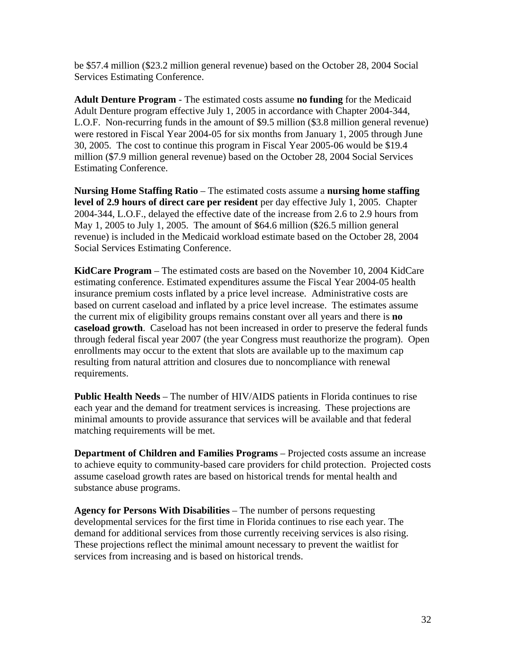be \$57.4 million (\$23.2 million general revenue) based on the October 28, 2004 Social Services Estimating Conference.

**Adult Denture Program** - The estimated costs assume **no funding** for the Medicaid Adult Denture program effective July 1, 2005 in accordance with Chapter 2004-344, L.O.F. Non-recurring funds in the amount of \$9.5 million (\$3.8 million general revenue) were restored in Fiscal Year 2004-05 for six months from January 1, 2005 through June 30, 2005. The cost to continue this program in Fiscal Year 2005-06 would be \$19.4 million (\$7.9 million general revenue) based on the October 28, 2004 Social Services Estimating Conference.

**Nursing Home Staffing Ratio** – The estimated costs assume a **nursing home staffing level of 2.9 hours of direct care per resident** per day effective July 1, 2005. Chapter 2004-344, L.O.F., delayed the effective date of the increase from 2.6 to 2.9 hours from May 1, 2005 to July 1, 2005. The amount of \$64.6 million (\$26.5 million general revenue) is included in the Medicaid workload estimate based on the October 28, 2004 Social Services Estimating Conference.

**KidCare Program** – The estimated costs are based on the November 10, 2004 KidCare estimating conference. Estimated expenditures assume the Fiscal Year 2004-05 health insurance premium costs inflated by a price level increase. Administrative costs are based on current caseload and inflated by a price level increase. The estimates assume the current mix of eligibility groups remains constant over all years and there is **no caseload growth**. Caseload has not been increased in order to preserve the federal funds through federal fiscal year 2007 (the year Congress must reauthorize the program). Open enrollments may occur to the extent that slots are available up to the maximum cap resulting from natural attrition and closures due to noncompliance with renewal requirements.

**Public Health Needs** – The number of HIV/AIDS patients in Florida continues to rise each year and the demand for treatment services is increasing. These projections are minimal amounts to provide assurance that services will be available and that federal matching requirements will be met.

**Department of Children and Families Programs** – Projected costs assume an increase to achieve equity to community-based care providers for child protection. Projected costs assume caseload growth rates are based on historical trends for mental health and substance abuse programs.

**Agency for Persons With Disabilities** – The number of persons requesting developmental services for the first time in Florida continues to rise each year. The demand for additional services from those currently receiving services is also rising. These projections reflect the minimal amount necessary to prevent the waitlist for services from increasing and is based on historical trends.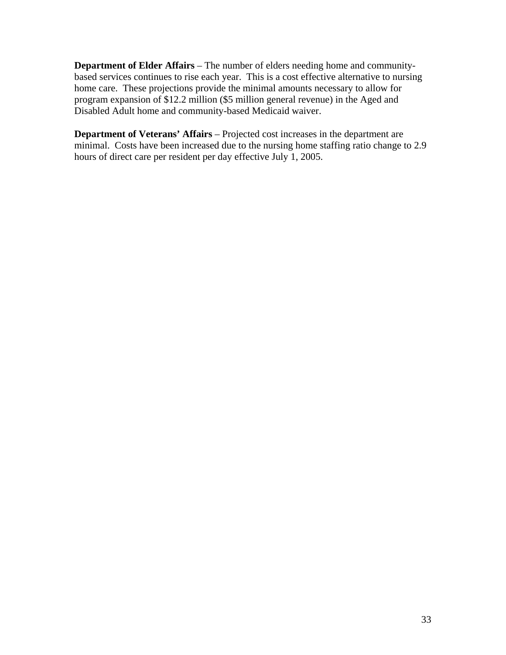**Department of Elder Affairs** – The number of elders needing home and communitybased services continues to rise each year. This is a cost effective alternative to nursing home care. These projections provide the minimal amounts necessary to allow for program expansion of \$12.2 million (\$5 million general revenue) in the Aged and Disabled Adult home and community-based Medicaid waiver.

**Department of Veterans' Affairs** – Projected cost increases in the department are minimal. Costs have been increased due to the nursing home staffing ratio change to 2.9 hours of direct care per resident per day effective July 1, 2005.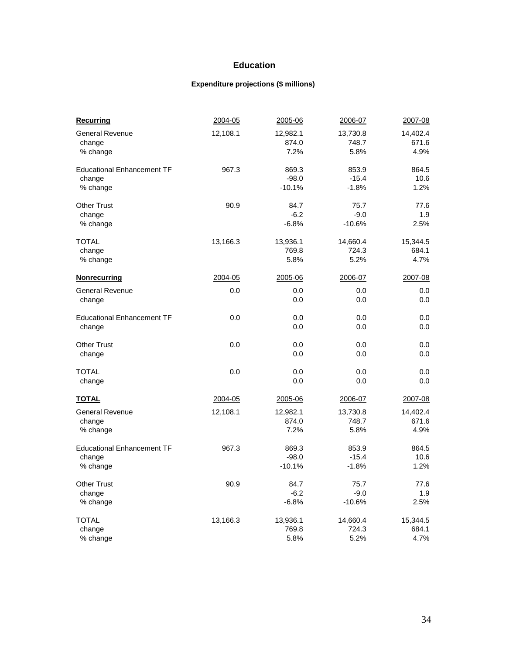#### **Education**

#### **Expenditure projections (\$ millions)**

| <b>Recurring</b>                  | 2004-05  | 2005-06  | 2006-07  | 2007-08  |
|-----------------------------------|----------|----------|----------|----------|
| <b>General Revenue</b>            | 12,108.1 | 12,982.1 | 13,730.8 | 14,402.4 |
| change                            |          | 874.0    | 748.7    | 671.6    |
| % change                          |          | 7.2%     | 5.8%     | 4.9%     |
| <b>Educational Enhancement TF</b> | 967.3    | 869.3    | 853.9    | 864.5    |
| change                            |          | $-98.0$  | $-15.4$  | 10.6     |
| % change                          |          | $-10.1%$ | $-1.8%$  | 1.2%     |
| <b>Other Trust</b>                | 90.9     | 84.7     | 75.7     | 77.6     |
| change                            |          | $-6.2$   | $-9.0$   | 1.9      |
| % change                          |          | $-6.8%$  | $-10.6%$ | 2.5%     |
| <b>TOTAL</b>                      | 13,166.3 | 13,936.1 | 14,660.4 | 15,344.5 |
| change                            |          | 769.8    | 724.3    | 684.1    |
| % change                          |          | 5.8%     | 5.2%     | 4.7%     |
| Nonrecurring                      | 2004-05  | 2005-06  | 2006-07  | 2007-08  |
| <b>General Revenue</b>            | 0.0      | 0.0      | 0.0      | 0.0      |
| change                            |          | 0.0      | 0.0      | 0.0      |
| <b>Educational Enhancement TF</b> | 0.0      | 0.0      | 0.0      | 0.0      |
| change                            |          | 0.0      | 0.0      | 0.0      |
| <b>Other Trust</b>                | 0.0      | 0.0      | 0.0      | 0.0      |
| change                            |          | 0.0      | 0.0      | 0.0      |
| <b>TOTAL</b>                      | 0.0      | 0.0      | 0.0      | 0.0      |
| change                            |          | 0.0      | 0.0      | 0.0      |
| <b>TOTAL</b>                      | 2004-05  | 2005-06  | 2006-07  | 2007-08  |
| <b>General Revenue</b>            | 12,108.1 | 12,982.1 | 13,730.8 | 14,402.4 |
| change                            |          | 874.0    | 748.7    | 671.6    |
| % change                          |          | 7.2%     | 5.8%     | 4.9%     |
| <b>Educational Enhancement TF</b> | 967.3    | 869.3    | 853.9    | 864.5    |
| change                            |          | $-98.0$  | $-15.4$  | 10.6     |
| % change                          |          | $-10.1%$ | $-1.8%$  | 1.2%     |
| <b>Other Trust</b>                | 90.9     | 84.7     | 75.7     | 77.6     |
| change                            |          | $-6.2$   | $-9.0$   | 1.9      |
| % change                          |          | $-6.8%$  | $-10.6%$ | 2.5%     |
| <b>TOTAL</b>                      | 13,166.3 | 13,936.1 | 14,660.4 | 15,344.5 |
| change                            |          | 769.8    | 724.3    | 684.1    |
| % change                          |          | 5.8%     | 5.2%     | 4.7%     |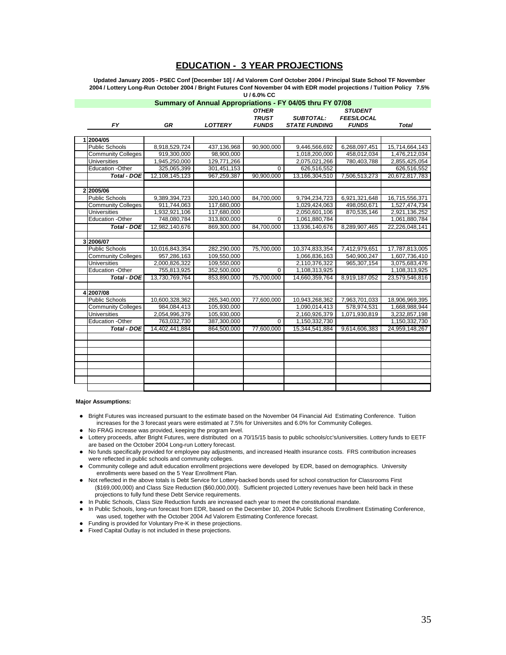#### **EDUCATION - 3 YEAR PROJECTIONS**

**Updated January 2005 - PSEC Conf [December 10] / Ad Valorem Conf October 2004 / Principal State School TF November 2004 / Lottery Long-Run October 2004 / Bright Futures Conf November 04 with EDR model projections / Tuition Policy 7.5% U / 6.0% CC**

| Summary of Annual Appropriations - FY 04/05 thru FY 07/08 |                |                |                |                      |                   |                |
|-----------------------------------------------------------|----------------|----------------|----------------|----------------------|-------------------|----------------|
|                                                           |                |                | <b>OTHER</b>   |                      | <b>STUDENT</b>    |                |
|                                                           |                |                | <b>TRUST</b>   | <b>SUBTOTAL:</b>     | <b>FEES/LOCAL</b> |                |
| FΥ                                                        | <b>GR</b>      | <b>LOTTERY</b> | <b>FUNDS</b>   | <b>STATE FUNDING</b> | <b>FUNDS</b>      | <b>Total</b>   |
|                                                           |                |                |                |                      |                   |                |
| 2004/05                                                   |                |                |                |                      |                   |                |
| <b>Public Schools</b>                                     | 8,918,529,724  | 437,136,968    | 90,900,000     | 9,446,566,692        | 6,268,097,451     | 15,714,664,143 |
| <b>Community Colleges</b>                                 | 919,300,000    | 98,900,000     |                | 1,018,200,000        | 458,012,034       | 1,476,212,034  |
| <b>Universities</b>                                       | 1,945,250,000  | 129,771,266    |                | 2,075,021,266        | 780,403,788       | 2,855,425,054  |
| <b>Education -Other</b>                                   | 325,065,399    | 301,451,153    | $\overline{0}$ | 626,516,552          |                   | 626,516,552    |
| <b>Total - DOE</b>                                        | 12.108.145.123 | 967.259.387    | 90.900.000     | 13,166,304,510       | 7,506,513,273     | 20.672.817.783 |
|                                                           |                |                |                |                      |                   |                |
| 22005/06                                                  |                |                |                |                      |                   |                |
| <b>Public Schools</b>                                     | 9,389,394,723  | 320,140,000    | 84,700,000     | 9,794,234,723        | 6,921,321,648     | 16,715,556,371 |
| <b>Community Colleges</b>                                 | 911,744,063    | 117,680,000    |                | 1,029,424,063        | 498,050,671       | 1,527,474,734  |
| <b>Universities</b>                                       | 1,932,921,106  | 117,680,000    |                | 2,050,601,106        | 870,535,146       | 2,921,136,252  |
| Education -Other                                          | 748.080.784    | 313,800,000    | $\Omega$       | 1.061.880.784        |                   | 1.061.880.784  |
| <b>Total - DOE</b>                                        | 12,982,140,676 | 869,300,000    | 84,700,000     | 13,936,140,676       | 8,289,907,465     | 22,226,048,141 |
|                                                           |                |                |                |                      |                   |                |
| 3 2006/07                                                 |                |                |                |                      |                   |                |
| <b>Public Schools</b>                                     | 10,016,843,354 | 282,290,000    | 75,700,000     | 10,374,833,354       | 7,412,979,651     | 17,787,813,005 |
| <b>Community Colleges</b>                                 | 957,286,163    | 109,550,000    |                | 1,066,836,163        | 540,900,247       | 1,607,736,410  |
| <b>Universities</b>                                       | 2,000,826,322  | 109,550,000    |                | 2,110,376,322        | 965,307,154       | 3,075,683,476  |
| <b>Education -Other</b>                                   | 755,813,925    | 352,500,000    | $\overline{0}$ | 1,108,313,925        |                   | 1,108,313,925  |
| <b>Total - DOE</b>                                        | 13.730.769.764 | 853.890.000    | 75.700.000     | 14.660.359.764       | 8.919.187.052     | 23.579.546.816 |
|                                                           |                |                |                |                      |                   |                |
| 4 2007/08                                                 |                |                |                |                      |                   |                |
| <b>Public Schools</b>                                     | 10,600,328,362 | 265,340,000    | 77,600,000     | 10,943,268,362       | 7,963,701,033     | 18,906,969,395 |
| <b>Community Colleges</b>                                 | 984,084,413    | 105,930,000    |                | 1,090,014,413        | 578,974,531       | 1,668,988,944  |
| <b>Universities</b>                                       | 2,054,996,379  | 105,930,000    |                | 2,160,926,379        | 1,071,930,819     | 3,232,857,198  |
| <b>Education -Other</b>                                   | 763,032,730    | 387,300,000    | 0              | 1,150,332,730        |                   | 1,150,332,730  |
| <b>Total - DOE</b>                                        | 14,402,441,884 | 864,500,000    | 77,600,000     | 15,344,541,884       | 9,614,606,383     | 24,959,148,267 |
|                                                           |                |                |                |                      |                   |                |
|                                                           |                |                |                |                      |                   |                |
|                                                           |                |                |                |                      |                   |                |
|                                                           |                |                |                |                      |                   |                |
|                                                           |                |                |                |                      |                   |                |
|                                                           |                |                |                |                      |                   |                |
|                                                           |                |                |                |                      |                   |                |
|                                                           |                |                |                |                      |                   |                |

#### **Major Assumptions:**

- Bright Futures was increased pursuant to the estimate based on the November 04 Financial Aid Estimating Conference. Tuition increases for the 3 forecast years were estimated at 7.5% for Universites and 6.0% for Community Colleges.
- No FRAG increase was provided, keeping the program level.
- Lottery proceeds, after Bright Futures, were distributed on a 70/15/15 basis to public schools/cc's/universities. Lottery funds to EETF are based on the October 2004 Long-run Lottery forecast.
- No funds specifically provided for employee pay adjustments, and increased Health insurance costs. FRS contribution increases were reflected in public schools and community colleges.
- Community college and adult education enrollment projections were developed by EDR, based on demographics. University enrollments were based on the 5 Year Enrollment Plan.
- Not reflected in the above totals is Debt Service for Lottery-backed bonds used for school construction for Classrooms First (\$169,000,000) and Class Size Reduction (\$60,000,000). Sufficient projected Lottery revenues have been held back in these projections to fully fund these Debt Service requirements.
- In Public Schools, Class Size Reduction funds are increased each year to meet the constitutional mandate.
- In Public Schools, long-run forecast from EDR, based on the December 10, 2004 Public Schools Enrollment Estimating Conference, was used, together with the October 2004 Ad Valorem Estimating Conference forecast.
- Funding is provided for Voluntary Pre-K in these projections.
- Fixed Capital Outlay is not included in these projections.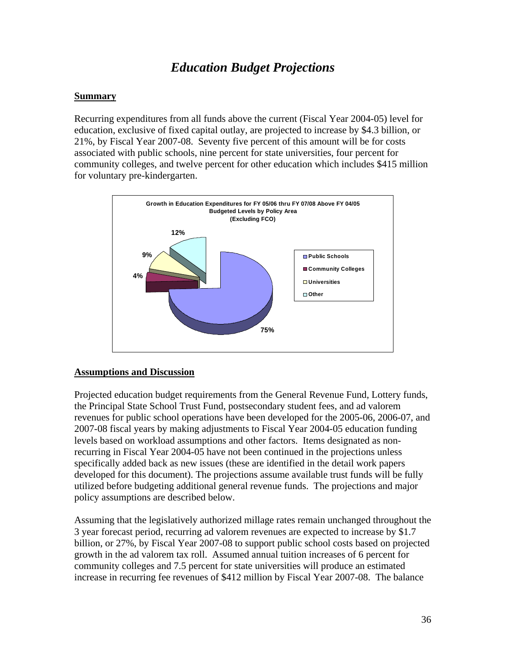# *Education Budget Projections*

#### **Summary**

Recurring expenditures from all funds above the current (Fiscal Year 2004-05) level for education, exclusive of fixed capital outlay, are projected to increase by \$4.3 billion, or 21%, by Fiscal Year 2007-08. Seventy five percent of this amount will be for costs associated with public schools, nine percent for state universities, four percent for community colleges, and twelve percent for other education which includes \$415 million for voluntary pre-kindergarten.



#### **Assumptions and Discussion**

Projected education budget requirements from the General Revenue Fund, Lottery funds, the Principal State School Trust Fund, postsecondary student fees, and ad valorem revenues for public school operations have been developed for the 2005-06, 2006-07, and 2007-08 fiscal years by making adjustments to Fiscal Year 2004-05 education funding levels based on workload assumptions and other factors. Items designated as nonrecurring in Fiscal Year 2004-05 have not been continued in the projections unless specifically added back as new issues (these are identified in the detail work papers developed for this document). The projections assume available trust funds will be fully utilized before budgeting additional general revenue funds. The projections and major policy assumptions are described below.

Assuming that the legislatively authorized millage rates remain unchanged throughout the 3 year forecast period, recurring ad valorem revenues are expected to increase by \$1.7 billion, or 27%, by Fiscal Year 2007-08 to support public school costs based on projected growth in the ad valorem tax roll. Assumed annual tuition increases of 6 percent for community colleges and 7.5 percent for state universities will produce an estimated increase in recurring fee revenues of \$412 million by Fiscal Year 2007-08. The balance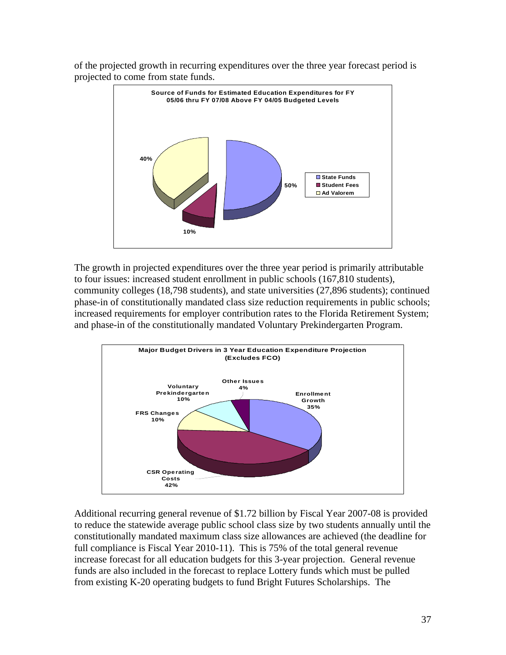of the projected growth in recurring expenditures over the three year forecast period is projected to come from state funds.



The growth in projected expenditures over the three year period is primarily attributable to four issues: increased student enrollment in public schools (167,810 students), community colleges (18,798 students), and state universities (27,896 students); continued phase-in of constitutionally mandated class size reduction requirements in public schools; increased requirements for employer contribution rates to the Florida Retirement System; and phase-in of the constitutionally mandated Voluntary Prekindergarten Program.



Additional recurring general revenue of \$1.72 billion by Fiscal Year 2007-08 is provided to reduce the statewide average public school class size by two students annually until the constitutionally mandated maximum class size allowances are achieved (the deadline for full compliance is Fiscal Year 2010-11). This is 75% of the total general revenue increase forecast for all education budgets for this 3-year projection. General revenue funds are also included in the forecast to replace Lottery funds which must be pulled from existing K-20 operating budgets to fund Bright Futures Scholarships. The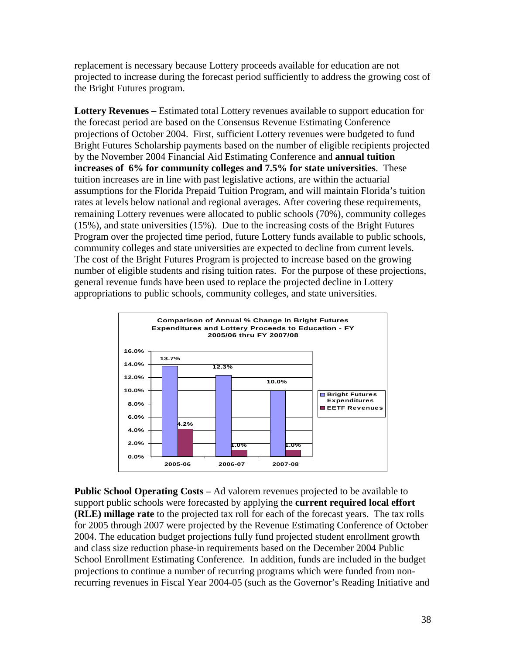replacement is necessary because Lottery proceeds available for education are not projected to increase during the forecast period sufficiently to address the growing cost of the Bright Futures program.

**Lottery Revenues –** Estimated total Lottery revenues available to support education for the forecast period are based on the Consensus Revenue Estimating Conference projections of October 2004. First, sufficient Lottery revenues were budgeted to fund Bright Futures Scholarship payments based on the number of eligible recipients projected by the November 2004 Financial Aid Estimating Conference and **annual tuition increases of 6% for community colleges and 7.5% for state universities**. These tuition increases are in line with past legislative actions, are within the actuarial assumptions for the Florida Prepaid Tuition Program, and will maintain Florida's tuition rates at levels below national and regional averages. After covering these requirements, remaining Lottery revenues were allocated to public schools (70%), community colleges (15%), and state universities (15%). Due to the increasing costs of the Bright Futures Program over the projected time period, future Lottery funds available to public schools, community colleges and state universities are expected to decline from current levels. The cost of the Bright Futures Program is projected to increase based on the growing number of eligible students and rising tuition rates. For the purpose of these projections, general revenue funds have been used to replace the projected decline in Lottery appropriations to public schools, community colleges, and state universities.



**Public School Operating Costs –** Ad valorem revenues projected to be available to support public schools were forecasted by applying the **current required local effort (RLE) millage rate** to the projected tax roll for each of the forecast years. The tax rolls for 2005 through 2007 were projected by the Revenue Estimating Conference of October 2004. The education budget projections fully fund projected student enrollment growth and class size reduction phase-in requirements based on the December 2004 Public School Enrollment Estimating Conference. In addition, funds are included in the budget projections to continue a number of recurring programs which were funded from nonrecurring revenues in Fiscal Year 2004-05 (such as the Governor's Reading Initiative and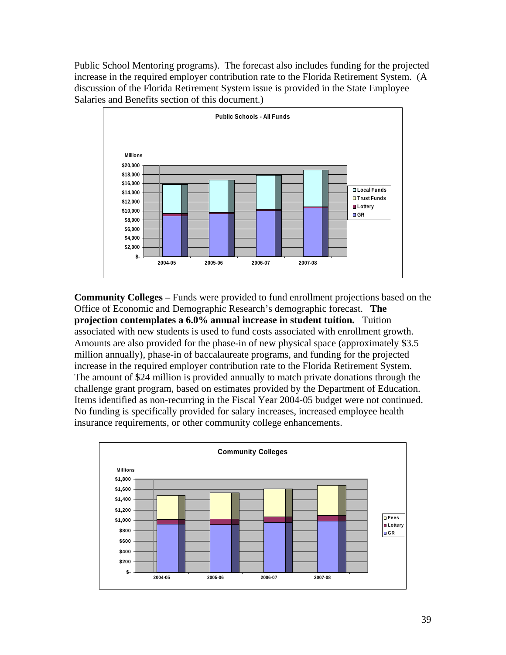Public School Mentoring programs). The forecast also includes funding for the projected increase in the required employer contribution rate to the Florida Retirement System. (A discussion of the Florida Retirement System issue is provided in the State Employee Salaries and Benefits section of this document.)



**Community Colleges –** Funds were provided to fund enrollment projections based on the Office of Economic and Demographic Research's demographic forecast. **The projection contemplates a 6.0% annual increase in student tuition.** Tuition associated with new students is used to fund costs associated with enrollment growth. Amounts are also provided for the phase-in of new physical space (approximately \$3.5 million annually), phase-in of baccalaureate programs, and funding for the projected increase in the required employer contribution rate to the Florida Retirement System. The amount of \$24 million is provided annually to match private donations through the challenge grant program, based on estimates provided by the Department of Education. Items identified as non-recurring in the Fiscal Year 2004-05 budget were not continued. No funding is specifically provided for salary increases, increased employee health insurance requirements, or other community college enhancements.

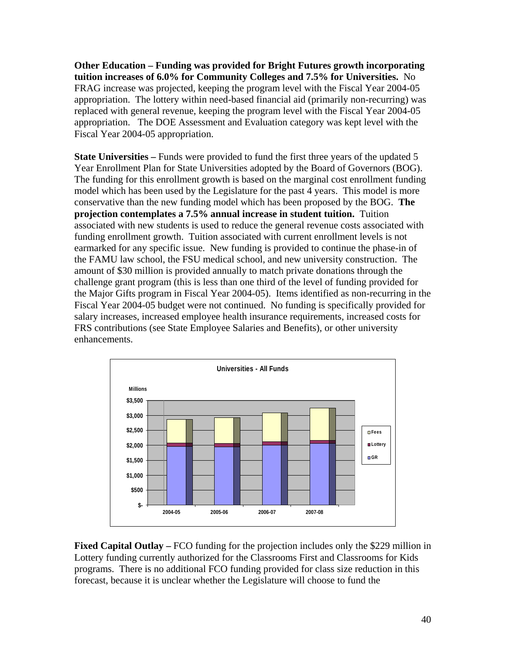**Other Education – Funding was provided for Bright Futures growth incorporating tuition increases of 6.0% for Community Colleges and 7.5% for Universities.** No FRAG increase was projected, keeping the program level with the Fiscal Year 2004-05 appropriation. The lottery within need-based financial aid (primarily non-recurring) was replaced with general revenue, keeping the program level with the Fiscal Year 2004-05 appropriation. The DOE Assessment and Evaluation category was kept level with the Fiscal Year 2004-05 appropriation.

**State Universities** – Funds were provided to fund the first three years of the updated 5 Year Enrollment Plan for State Universities adopted by the Board of Governors (BOG). The funding for this enrollment growth is based on the marginal cost enrollment funding model which has been used by the Legislature for the past 4 years. This model is more conservative than the new funding model which has been proposed by the BOG. **The projection contemplates a 7.5% annual increase in student tuition.** Tuition associated with new students is used to reduce the general revenue costs associated with funding enrollment growth. Tuition associated with current enrollment levels is not earmarked for any specific issue. New funding is provided to continue the phase-in of the FAMU law school, the FSU medical school, and new university construction. The amount of \$30 million is provided annually to match private donations through the challenge grant program (this is less than one third of the level of funding provided for the Major Gifts program in Fiscal Year 2004-05). Items identified as non-recurring in the Fiscal Year 2004-05 budget were not continued. No funding is specifically provided for salary increases, increased employee health insurance requirements, increased costs for FRS contributions (see State Employee Salaries and Benefits), or other university enhancements.



**Fixed Capital Outlay –** FCO funding for the projection includes only the \$229 million in Lottery funding currently authorized for the Classrooms First and Classrooms for Kids programs. There is no additional FCO funding provided for class size reduction in this forecast, because it is unclear whether the Legislature will choose to fund the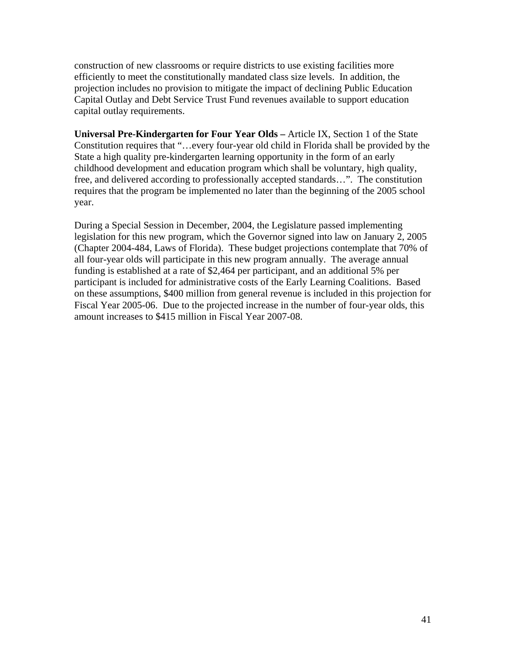construction of new classrooms or require districts to use existing facilities more efficiently to meet the constitutionally mandated class size levels. In addition, the projection includes no provision to mitigate the impact of declining Public Education Capital Outlay and Debt Service Trust Fund revenues available to support education capital outlay requirements.

**Universal Pre-Kindergarten for Four Year Olds –** Article IX, Section 1 of the State Constitution requires that "…every four-year old child in Florida shall be provided by the State a high quality pre-kindergarten learning opportunity in the form of an early childhood development and education program which shall be voluntary, high quality, free, and delivered according to professionally accepted standards…". The constitution requires that the program be implemented no later than the beginning of the 2005 school year.

During a Special Session in December, 2004, the Legislature passed implementing legislation for this new program, which the Governor signed into law on January 2, 2005 (Chapter 2004-484, Laws of Florida). These budget projections contemplate that 70% of all four-year olds will participate in this new program annually. The average annual funding is established at a rate of \$2,464 per participant, and an additional 5% per participant is included for administrative costs of the Early Learning Coalitions. Based on these assumptions, \$400 million from general revenue is included in this projection for Fiscal Year 2005-06. Due to the projected increase in the number of four-year olds, this amount increases to \$415 million in Fiscal Year 2007-08.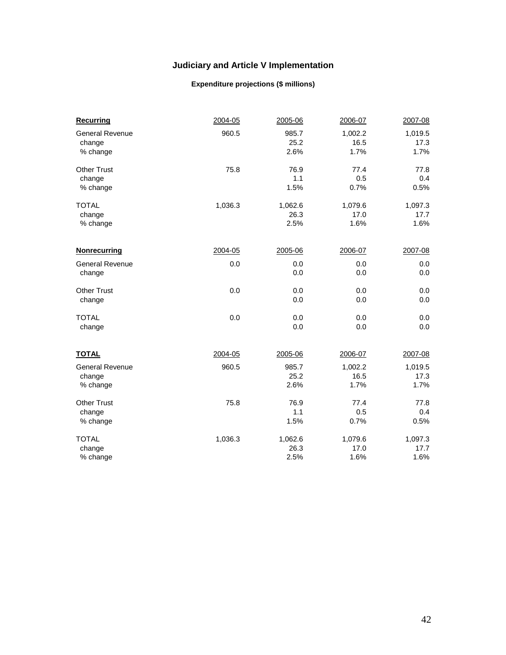## **Judiciary and Article V Implementation**

#### **Expenditure projections (\$ millions)**

| <b>Recurring</b>                 | 2004-05 | 2005-06       | 2006-07         | 2007-08         |
|----------------------------------|---------|---------------|-----------------|-----------------|
| <b>General Revenue</b><br>change | 960.5   | 985.7<br>25.2 | 1,002.2<br>16.5 | 1,019.5<br>17.3 |
| % change                         |         | 2.6%          | 1.7%            | 1.7%            |
| <b>Other Trust</b>               | 75.8    | 76.9          | 77.4            | 77.8            |
| change                           |         | 1.1           | 0.5             | 0.4             |
| % change                         |         | 1.5%          | 0.7%            | 0.5%            |
| <b>TOTAL</b>                     | 1,036.3 | 1,062.6       | 1,079.6         | 1,097.3         |
| change                           |         | 26.3          | 17.0            | 17.7            |
| % change                         |         | 2.5%          | 1.6%            | 1.6%            |
| <b>Nonrecurring</b>              | 2004-05 | 2005-06       | 2006-07         | 2007-08         |
| <b>General Revenue</b>           | 0.0     | 0.0           | 0.0             | 0.0             |
| change                           |         | 0.0           | 0.0             | 0.0             |
|                                  |         |               |                 |                 |
| <b>Other Trust</b>               | 0.0     | 0.0           | 0.0             | 0.0             |
| change                           |         | 0.0           | 0.0             | 0.0             |
| <b>TOTAL</b>                     | 0.0     | 0.0           | 0.0             | 0.0             |
| change                           |         | 0.0           | 0.0             | 0.0             |
| <b>TOTAL</b>                     | 2004-05 | 2005-06       | 2006-07         | 2007-08         |
| <b>General Revenue</b>           | 960.5   | 985.7         | 1,002.2         | 1,019.5         |
| change                           |         | 25.2          | 16.5            | 17.3            |
| % change                         |         | 2.6%          | 1.7%            | 1.7%            |
| <b>Other Trust</b>               |         |               | 77.4            |                 |
|                                  | 75.8    | 76.9<br>1.1   | 0.5             | 77.8<br>0.4     |
| change<br>% change               |         | 1.5%          | 0.7%            | 0.5%            |
|                                  |         |               |                 |                 |
| <b>TOTAL</b>                     | 1,036.3 | 1,062.6       | 1,079.6         | 1,097.3         |
| change                           |         | 26.3          | 17.0            | 17.7            |
| % change                         |         | 2.5%          | 1.6%            | 1.6%            |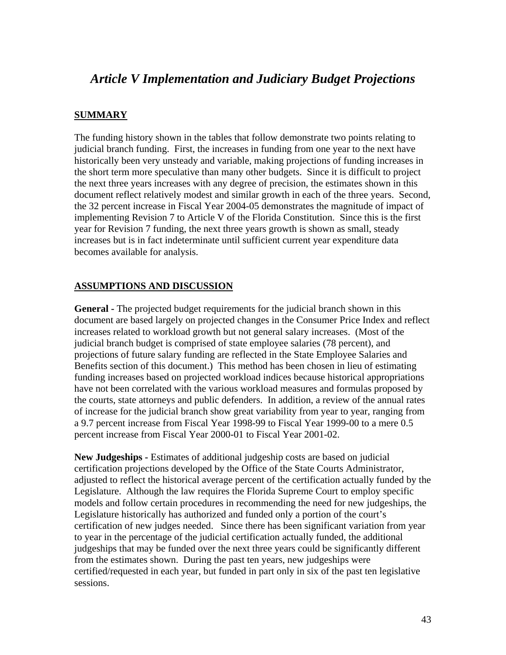# *Article V Implementation and Judiciary Budget Projections*

#### **SUMMARY**

The funding history shown in the tables that follow demonstrate two points relating to judicial branch funding. First, the increases in funding from one year to the next have historically been very unsteady and variable, making projections of funding increases in the short term more speculative than many other budgets. Since it is difficult to project the next three years increases with any degree of precision, the estimates shown in this document reflect relatively modest and similar growth in each of the three years. Second, the 32 percent increase in Fiscal Year 2004-05 demonstrates the magnitude of impact of implementing Revision 7 to Article V of the Florida Constitution. Since this is the first year for Revision 7 funding, the next three years growth is shown as small, steady increases but is in fact indeterminate until sufficient current year expenditure data becomes available for analysis.

#### **ASSUMPTIONS AND DISCUSSION**

**General -** The projected budget requirements for the judicial branch shown in this document are based largely on projected changes in the Consumer Price Index and reflect increases related to workload growth but not general salary increases. (Most of the judicial branch budget is comprised of state employee salaries (78 percent), and projections of future salary funding are reflected in the State Employee Salaries and Benefits section of this document.) This method has been chosen in lieu of estimating funding increases based on projected workload indices because historical appropriations have not been correlated with the various workload measures and formulas proposed by the courts, state attorneys and public defenders. In addition, a review of the annual rates of increase for the judicial branch show great variability from year to year, ranging from a 9.7 percent increase from Fiscal Year 1998-99 to Fiscal Year 1999-00 to a mere 0.5 percent increase from Fiscal Year 2000-01 to Fiscal Year 2001-02.

**New Judgeships -** Estimates of additional judgeship costs are based on judicial certification projections developed by the Office of the State Courts Administrator, adjusted to reflect the historical average percent of the certification actually funded by the Legislature. Although the law requires the Florida Supreme Court to employ specific models and follow certain procedures in recommending the need for new judgeships, the Legislature historically has authorized and funded only a portion of the court's certification of new judges needed. Since there has been significant variation from year to year in the percentage of the judicial certification actually funded, the additional judgeships that may be funded over the next three years could be significantly different from the estimates shown. During the past ten years, new judgeships were certified/requested in each year, but funded in part only in six of the past ten legislative sessions.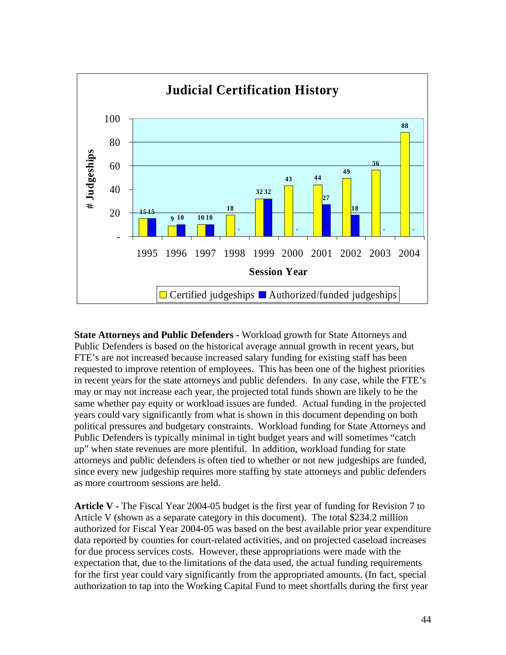

**State Attorneys and Public Defenders -** Workload growth for State Attorneys and Public Defenders is based on the historical average annual growth in recent years, but FTE's are not increased because increased salary funding for existing staff has been requested to improve retention of employees. This has been one of the highest priorities in recent years for the state attorneys and public defenders. In any case, while the FTE's may or may not increase each year, the projected total funds shown are likely to be the same whether pay equity or workload issues are funded. Actual funding in the projected years could vary significantly from what is shown in this document depending on both political pressures and budgetary constraints. Workload funding for State Attorneys and Public Defenders is typically minimal in tight budget years and will sometimes "catch up" when state revenues are more plentiful. In addition, workload funding for state attorneys and public defenders is often tied to whether or not new judgeships are funded, since every new judgeship requires more staffing by state attorneys and public defenders as more courtroom sessions are held.

**Article V -** The Fiscal Year 2004-05 budget is the first year of funding for Revision 7 to Article V (shown as a separate category in this document). The total \$234.2 million authorized for Fiscal Year 2004-05 was based on the best available prior year expenditure data reported by counties for court-related activities, and on projected caseload increases for due process services costs. However, these appropriations were made with the expectation that, due to the limitations of the data used, the actual funding requirements for the first year could vary significantly from the appropriated amounts. (In fact, special authorization to tap into the Working Capital Fund to meet shortfalls during the first year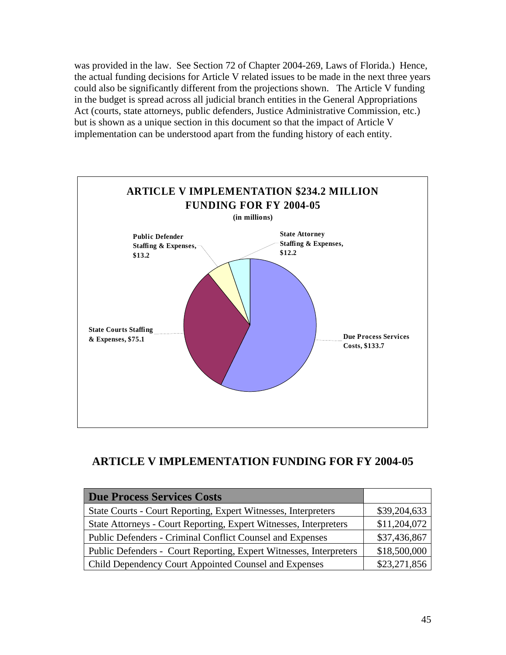was provided in the law. See Section 72 of Chapter 2004-269, Laws of Florida.) Hence, the actual funding decisions for Article V related issues to be made in the next three years could also be significantly different from the projections shown. The Article V funding in the budget is spread across all judicial branch entities in the General Appropriations Act (courts, state attorneys, public defenders, Justice Administrative Commission, etc.) but is shown as a unique section in this document so that the impact of Article V implementation can be understood apart from the funding history of each entity.



## **ARTICLE V IMPLEMENTATION FUNDING FOR FY 2004-05**

| <b>Due Process Services Costs</b>                                     |              |
|-----------------------------------------------------------------------|--------------|
| <b>State Courts - Court Reporting, Expert Witnesses, Interpreters</b> | \$39,204,633 |
| State Attorneys - Court Reporting, Expert Witnesses, Interpreters     | \$11,204,072 |
| Public Defenders - Criminal Conflict Counsel and Expenses             | \$37,436,867 |
| Public Defenders - Court Reporting, Expert Witnesses, Interpreters    | \$18,500,000 |
| <b>Child Dependency Court Appointed Counsel and Expenses</b>          | \$23,271,856 |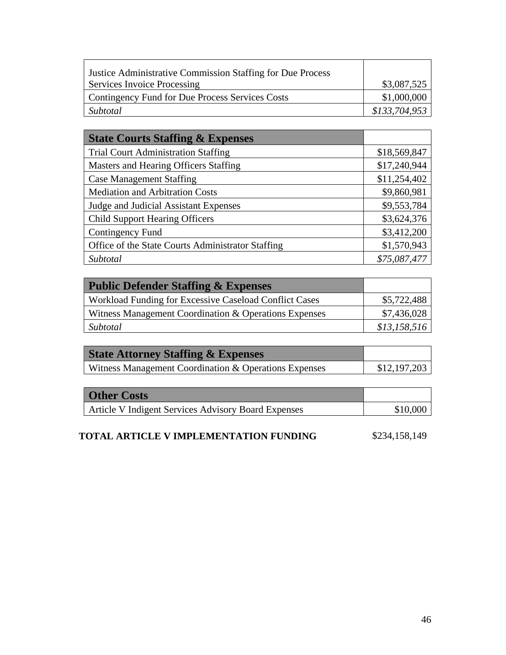| <b>Justice Administrative Commission Staffing for Due Process</b> |               |
|-------------------------------------------------------------------|---------------|
| <b>Services Invoice Processing</b>                                | \$3,087,525   |
| Contingency Fund for Due Process Services Costs                   | \$1,000,000   |
| Subtotal                                                          | \$133,704,953 |

| <b>State Courts Staffing &amp; Expenses</b>       |              |
|---------------------------------------------------|--------------|
| <b>Trial Court Administration Staffing</b>        | \$18,569,847 |
| Masters and Hearing Officers Staffing             | \$17,240,944 |
| <b>Case Management Staffing</b>                   | \$11,254,402 |
| <b>Mediation and Arbitration Costs</b>            | \$9,860,981  |
| Judge and Judicial Assistant Expenses             | \$9,553,784  |
| <b>Child Support Hearing Officers</b>             | \$3,624,376  |
| Contingency Fund                                  | \$3,412,200  |
| Office of the State Courts Administrator Staffing | \$1,570,943  |
| Subtotal                                          | \$75,087,477 |

| <b>Public Defender Staffing &amp; Expenses</b>         |              |
|--------------------------------------------------------|--------------|
| Workload Funding for Excessive Caseload Conflict Cases | \$5,722,488  |
| Witness Management Coordination & Operations Expenses  | \$7,436,028  |
| Subtotal                                               | \$13,158,516 |

| <b>State Attorney Staffing &amp; Expenses</b>         |              |
|-------------------------------------------------------|--------------|
| Witness Management Coordination & Operations Expenses | \$12,197,203 |

| <b>Other Costs</b>                                         |          |
|------------------------------------------------------------|----------|
| <b>Article V Indigent Services Advisory Board Expenses</b> | \$10,000 |

| <b>TOTAL ARTICLE V IMPLEMENTATION FUNDING</b> | \$234,158,149 |
|-----------------------------------------------|---------------|
|-----------------------------------------------|---------------|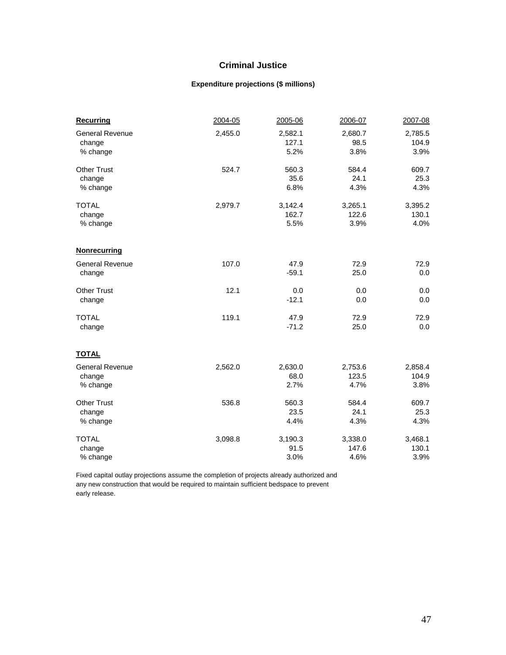#### **Criminal Justice**

#### **Expenditure projections (\$ millions)**

| <b>Recurring</b>       | 2004-05 | 2005-06 | 2006-07 | 2007-08 |
|------------------------|---------|---------|---------|---------|
| <b>General Revenue</b> | 2,455.0 | 2,582.1 | 2,680.7 | 2,785.5 |
| change                 |         | 127.1   | 98.5    | 104.9   |
| % change               |         | 5.2%    | 3.8%    | 3.9%    |
| <b>Other Trust</b>     | 524.7   | 560.3   | 584.4   | 609.7   |
| change                 |         | 35.6    | 24.1    | 25.3    |
| % change               |         | 6.8%    | 4.3%    | 4.3%    |
| <b>TOTAL</b>           | 2,979.7 | 3,142.4 | 3,265.1 | 3,395.2 |
| change                 |         | 162.7   | 122.6   | 130.1   |
| % change               |         | 5.5%    | 3.9%    | 4.0%    |
| <b>Nonrecurring</b>    |         |         |         |         |
| <b>General Revenue</b> | 107.0   | 47.9    | 72.9    | 72.9    |
| change                 |         | $-59.1$ | 25.0    | 0.0     |
| <b>Other Trust</b>     | 12.1    | 0.0     | 0.0     | 0.0     |
| change                 |         | $-12.1$ | 0.0     | 0.0     |
| <b>TOTAL</b>           | 119.1   | 47.9    | 72.9    | 72.9    |
| change                 |         | $-71.2$ | 25.0    | 0.0     |
| <b>TOTAL</b>           |         |         |         |         |
| <b>General Revenue</b> | 2,562.0 | 2,630.0 | 2,753.6 | 2,858.4 |
| change                 |         | 68.0    | 123.5   | 104.9   |
| % change               |         | 2.7%    | 4.7%    | 3.8%    |
| <b>Other Trust</b>     | 536.8   | 560.3   | 584.4   | 609.7   |
| change                 |         | 23.5    | 24.1    | 25.3    |
| % change               |         | 4.4%    | 4.3%    | 4.3%    |
| <b>TOTAL</b>           | 3,098.8 | 3,190.3 | 3,338.0 | 3,468.1 |
| change                 |         | 91.5    | 147.6   | 130.1   |
| % change               |         | 3.0%    | 4.6%    | 3.9%    |

Fixed capital outlay projections assume the completion of projects already authorized and any new construction that would be required to maintain sufficient bedspace to prevent early release.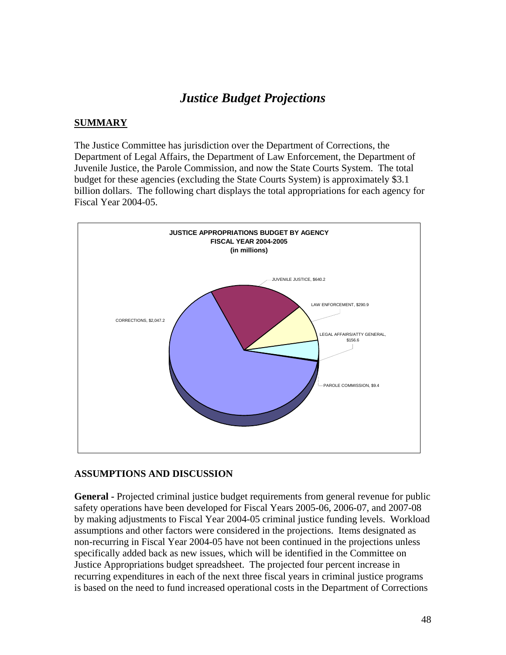# *Justice Budget Projections*

#### **SUMMARY**

The Justice Committee has jurisdiction over the Department of Corrections, the Department of Legal Affairs, the Department of Law Enforcement, the Department of Juvenile Justice, the Parole Commission, and now the State Courts System. The total budget for these agencies (excluding the State Courts System) is approximately \$3.1 billion dollars. The following chart displays the total appropriations for each agency for Fiscal Year 2004-05.



#### **ASSUMPTIONS AND DISCUSSION**

**General -** Projected criminal justice budget requirements from general revenue for public safety operations have been developed for Fiscal Years 2005-06, 2006-07, and 2007-08 by making adjustments to Fiscal Year 2004-05 criminal justice funding levels. Workload assumptions and other factors were considered in the projections. Items designated as non-recurring in Fiscal Year 2004-05 have not been continued in the projections unless specifically added back as new issues, which will be identified in the Committee on Justice Appropriations budget spreadsheet. The projected four percent increase in recurring expenditures in each of the next three fiscal years in criminal justice programs is based on the need to fund increased operational costs in the Department of Corrections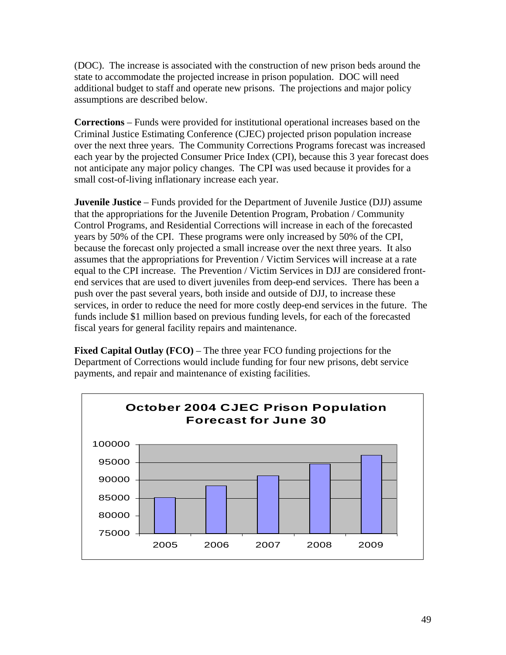(DOC). The increase is associated with the construction of new prison beds around the state to accommodate the projected increase in prison population. DOC will need additional budget to staff and operate new prisons. The projections and major policy assumptions are described below.

**Corrections** – Funds were provided for institutional operational increases based on the Criminal Justice Estimating Conference (CJEC) projected prison population increase over the next three years. The Community Corrections Programs forecast was increased each year by the projected Consumer Price Index (CPI), because this 3 year forecast does not anticipate any major policy changes. The CPI was used because it provides for a small cost-of-living inflationary increase each year.

**Juvenile Justice** – Funds provided for the Department of Juvenile Justice (DJJ) assume that the appropriations for the Juvenile Detention Program, Probation / Community Control Programs, and Residential Corrections will increase in each of the forecasted years by 50% of the CPI. These programs were only increased by 50% of the CPI, because the forecast only projected a small increase over the next three years. It also assumes that the appropriations for Prevention / Victim Services will increase at a rate equal to the CPI increase. The Prevention / Victim Services in DJJ are considered frontend services that are used to divert juveniles from deep-end services. There has been a push over the past several years, both inside and outside of DJJ, to increase these services, in order to reduce the need for more costly deep-end services in the future. The funds include \$1 million based on previous funding levels, for each of the forecasted fiscal years for general facility repairs and maintenance.

**Fixed Capital Outlay (FCO)** – The three year FCO funding projections for the Department of Corrections would include funding for four new prisons, debt service payments, and repair and maintenance of existing facilities.

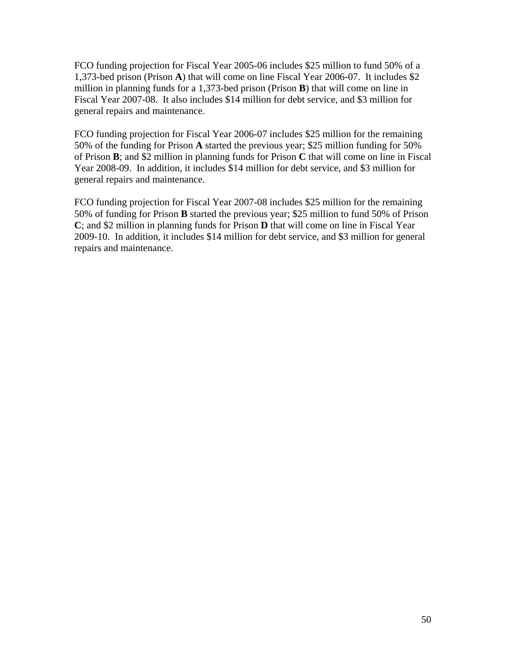FCO funding projection for Fiscal Year 2005-06 includes \$25 million to fund 50% of a 1,373-bed prison (Prison **A**) that will come on line Fiscal Year 2006-07. It includes \$2 million in planning funds for a 1,373-bed prison (Prison **B**) that will come on line in Fiscal Year 2007-08. It also includes \$14 million for debt service, and \$3 million for general repairs and maintenance.

FCO funding projection for Fiscal Year 2006-07 includes \$25 million for the remaining 50% of the funding for Prison **A** started the previous year; \$25 million funding for 50% of Prison **B**; and \$2 million in planning funds for Prison **C** that will come on line in Fiscal Year 2008-09. In addition, it includes \$14 million for debt service, and \$3 million for general repairs and maintenance.

FCO funding projection for Fiscal Year 2007-08 includes \$25 million for the remaining 50% of funding for Prison **B** started the previous year; \$25 million to fund 50% of Prison **C**; and \$2 million in planning funds for Prison **D** that will come on line in Fiscal Year 2009-10. In addition, it includes \$14 million for debt service, and \$3 million for general repairs and maintenance.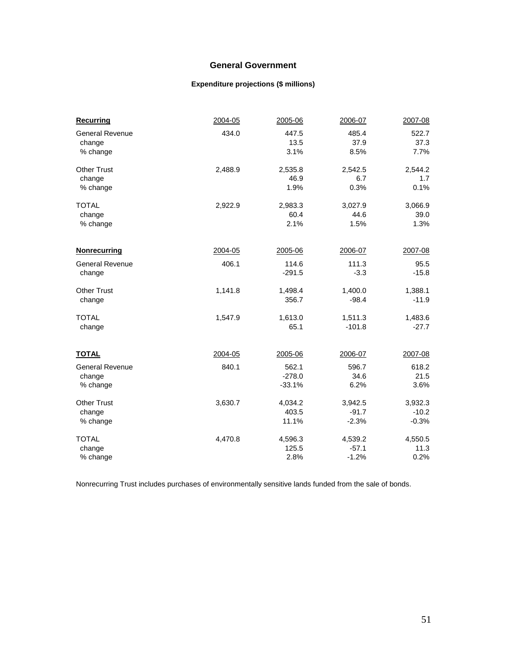#### **General Government**

#### **Expenditure projections (\$ millions)**

| <b>Recurring</b>       | 2004-05 | 2005-06  | 2006-07  | 2007-08 |
|------------------------|---------|----------|----------|---------|
| <b>General Revenue</b> | 434.0   | 447.5    | 485.4    | 522.7   |
| change                 |         | 13.5     | 37.9     | 37.3    |
| % change               |         | 3.1%     | 8.5%     | 7.7%    |
| <b>Other Trust</b>     | 2,488.9 | 2,535.8  | 2,542.5  | 2,544.2 |
| change                 |         | 46.9     | 6.7      | 1.7     |
| % change               |         | 1.9%     | 0.3%     | 0.1%    |
| <b>TOTAL</b>           | 2,922.9 | 2,983.3  | 3,027.9  | 3,066.9 |
| change                 |         | 60.4     | 44.6     | 39.0    |
| % change               |         | 2.1%     | 1.5%     | 1.3%    |
| <b>Nonrecurring</b>    | 2004-05 | 2005-06  | 2006-07  | 2007-08 |
| <b>General Revenue</b> | 406.1   | 114.6    | 111.3    | 95.5    |
| change                 |         | $-291.5$ | $-3.3$   | $-15.8$ |
| <b>Other Trust</b>     | 1,141.8 | 1,498.4  | 1,400.0  | 1,388.1 |
| change                 |         | 356.7    | $-98.4$  | $-11.9$ |
| <b>TOTAL</b>           | 1,547.9 | 1,613.0  | 1,511.3  | 1,483.6 |
| change                 |         | 65.1     | $-101.8$ | $-27.7$ |
| <b>TOTAL</b>           | 2004-05 | 2005-06  | 2006-07  | 2007-08 |
| <b>General Revenue</b> | 840.1   | 562.1    | 596.7    | 618.2   |
| change                 |         | $-278.0$ | 34.6     | 21.5    |
| % change               |         | $-33.1%$ | 6.2%     | 3.6%    |
| <b>Other Trust</b>     | 3,630.7 | 4,034.2  | 3,942.5  | 3,932.3 |
| change                 |         | 403.5    | $-91.7$  | $-10.2$ |
| % change               |         | 11.1%    | $-2.3%$  | $-0.3%$ |
| <b>TOTAL</b>           | 4,470.8 | 4,596.3  | 4,539.2  | 4,550.5 |
| change                 |         | 125.5    | $-57.1$  | 11.3    |
| % change               |         | 2.8%     | $-1.2%$  | 0.2%    |

Nonrecurring Trust includes purchases of environmentally sensitive lands funded from the sale of bonds.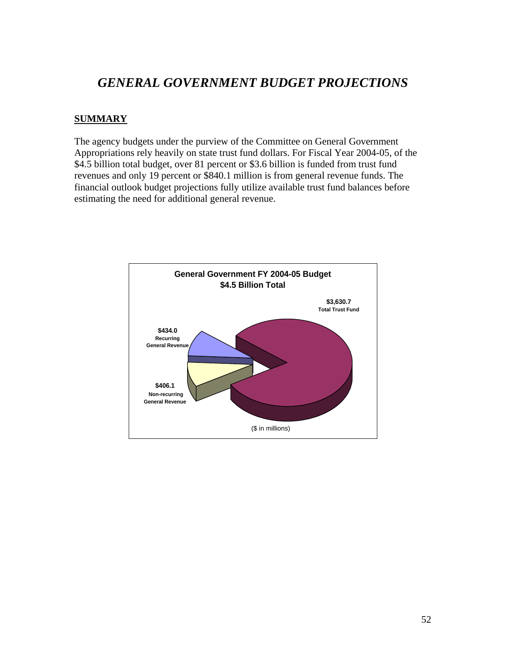# *GENERAL GOVERNMENT BUDGET PROJECTIONS*

#### **SUMMARY**

The agency budgets under the purview of the Committee on General Government Appropriations rely heavily on state trust fund dollars. For Fiscal Year 2004-05, of the \$4.5 billion total budget, over 81 percent or \$3.6 billion is funded from trust fund revenues and only 19 percent or \$840.1 million is from general revenue funds. The financial outlook budget projections fully utilize available trust fund balances before estimating the need for additional general revenue.

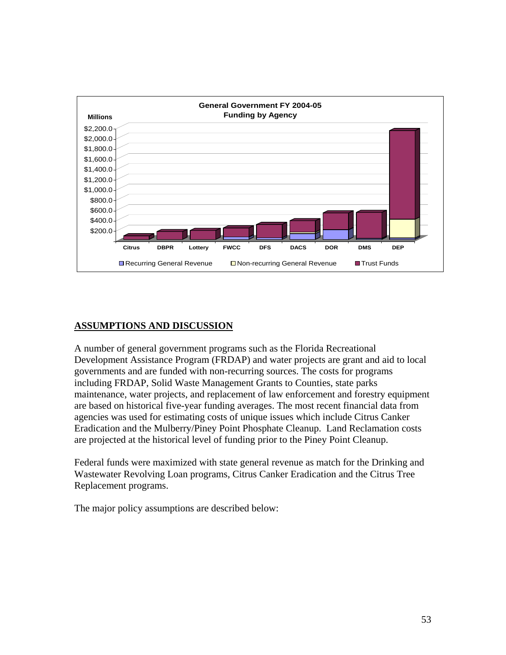

### **ASSUMPTIONS AND DISCUSSION**

A number of general government programs such as the Florida Recreational Development Assistance Program (FRDAP) and water projects are grant and aid to local governments and are funded with non-recurring sources. The costs for programs including FRDAP, Solid Waste Management Grants to Counties, state parks maintenance, water projects, and replacement of law enforcement and forestry equipment are based on historical five-year funding averages. The most recent financial data from agencies was used for estimating costs of unique issues which include Citrus Canker Eradication and the Mulberry/Piney Point Phosphate Cleanup. Land Reclamation costs are projected at the historical level of funding prior to the Piney Point Cleanup.

Federal funds were maximized with state general revenue as match for the Drinking and Wastewater Revolving Loan programs, Citrus Canker Eradication and the Citrus Tree Replacement programs.

The major policy assumptions are described below: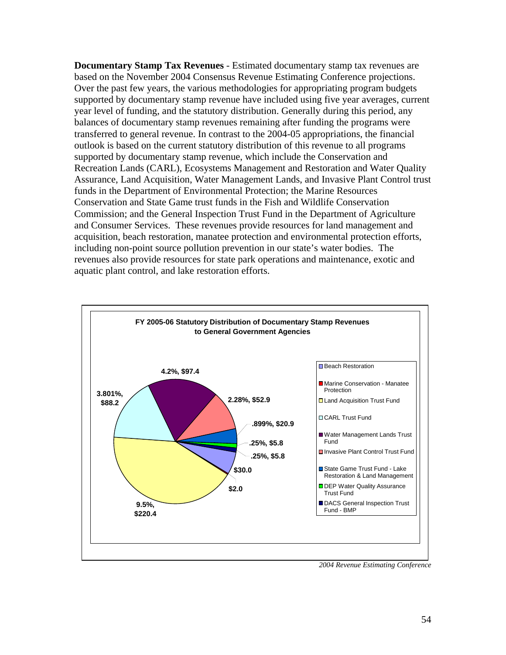**Documentary Stamp Tax Revenues** - Estimated documentary stamp tax revenues are based on the November 2004 Consensus Revenue Estimating Conference projections. Over the past few years, the various methodologies for appropriating program budgets supported by documentary stamp revenue have included using five year averages, current year level of funding, and the statutory distribution. Generally during this period, any balances of documentary stamp revenues remaining after funding the programs were transferred to general revenue. In contrast to the 2004-05 appropriations, the financial outlook is based on the current statutory distribution of this revenue to all programs supported by documentary stamp revenue, which include the Conservation and Recreation Lands (CARL), Ecosystems Management and Restoration and Water Quality Assurance, Land Acquisition, Water Management Lands, and Invasive Plant Control trust funds in the Department of Environmental Protection; the Marine Resources Conservation and State Game trust funds in the Fish and Wildlife Conservation Commission; and the General Inspection Trust Fund in the Department of Agriculture and Consumer Services. These revenues provide resources for land management and acquisition, beach restoration, manatee protection and environmental protection efforts, including non-point source pollution prevention in our state's water bodies. The revenues also provide resources for state park operations and maintenance, exotic and aquatic plant control, and lake restoration efforts.



*2004 Revenue Estimating Conference*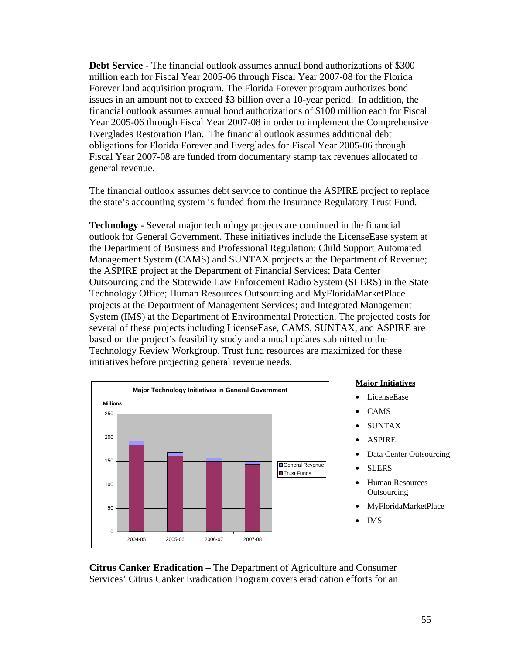**Debt Service** - The financial outlook assumes annual bond authorizations of \$300 million each for Fiscal Year 2005-06 through Fiscal Year 2007-08 for the Florida Forever land acquisition program. The Florida Forever program authorizes bond issues in an amount not to exceed \$3 billion over a 10-year period. In addition, the financial outlook assumes annual bond authorizations of \$100 million each for Fiscal Year 2005-06 through Fiscal Year 2007-08 in order to implement the Comprehensive Everglades Restoration Plan. The financial outlook assumes additional debt obligations for Florida Forever and Everglades for Fiscal Year 2005-06 through Fiscal Year 2007-08 are funded from documentary stamp tax revenues allocated to general revenue.

The financial outlook assumes debt service to continue the ASPIRE project to replace the state's accounting system is funded from the Insurance Regulatory Trust Fund.

**Technology -** Several major technology projects are continued in the financial outlook for General Government. These initiatives include the LicenseEase system at the Department of Business and Professional Regulation; Child Support Automated Management System (CAMS) and SUNTAX projects at the Department of Revenue; the ASPIRE project at the Department of Financial Services; Data Center Outsourcing and the Statewide Law Enforcement Radio System (SLERS) in the State Technology Office; Human Resources Outsourcing and MyFloridaMarketPlace projects at the Department of Management Services; and Integrated Management System (IMS) at the Department of Environmental Protection. The projected costs for several of these projects including LicenseEase, CAMS, SUNTAX, and ASPIRE are based on the project's feasibility study and annual updates submitted to the Technology Review Workgroup. Trust fund resources are maximized for these initiatives before projecting general revenue needs.



#### **Major Initiatives**

- LicenseEase
- CAMS
- SUNTAX
- ASPIRE
- Data Center Outsourcing
- **SLERS**
- Human Resources **Outsourcing**
- MyFloridaMarketPlace
- IMS

**Citrus Canker Eradication –** The Department of Agriculture and Consumer Services' Citrus Canker Eradication Program covers eradication efforts for an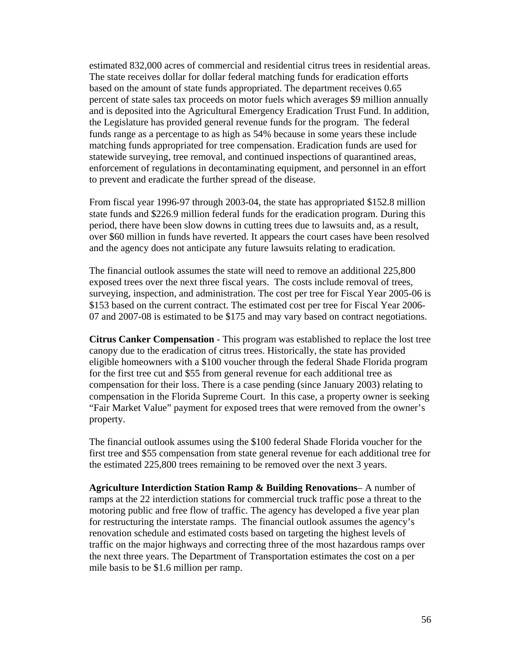estimated 832,000 acres of commercial and residential citrus trees in residential areas. The state receives dollar for dollar federal matching funds for eradication efforts based on the amount of state funds appropriated. The department receives 0.65 percent of state sales tax proceeds on motor fuels which averages \$9 million annually and is deposited into the Agricultural Emergency Eradication Trust Fund. In addition, the Legislature has provided general revenue funds for the program. The federal funds range as a percentage to as high as 54% because in some years these include matching funds appropriated for tree compensation. Eradication funds are used for statewide surveying, tree removal, and continued inspections of quarantined areas, enforcement of regulations in decontaminating equipment, and personnel in an effort to prevent and eradicate the further spread of the disease.

From fiscal year 1996-97 through 2003-04, the state has appropriated \$152.8 million state funds and \$226.9 million federal funds for the eradication program. During this period, there have been slow downs in cutting trees due to lawsuits and, as a result, over \$60 million in funds have reverted. It appears the court cases have been resolved and the agency does not anticipate any future lawsuits relating to eradication.

The financial outlook assumes the state will need to remove an additional 225,800 exposed trees over the next three fiscal years. The costs include removal of trees, surveying, inspection, and administration. The cost per tree for Fiscal Year 2005-06 is \$153 based on the current contract. The estimated cost per tree for Fiscal Year 2006- 07 and 2007-08 is estimated to be \$175 and may vary based on contract negotiations.

**Citrus Canker Compensation** - This program was established to replace the lost tree canopy due to the eradication of citrus trees. Historically, the state has provided eligible homeowners with a \$100 voucher through the federal Shade Florida program for the first tree cut and \$55 from general revenue for each additional tree as compensation for their loss. There is a case pending (since January 2003) relating to compensation in the Florida Supreme Court. In this case, a property owner is seeking "Fair Market Value" payment for exposed trees that were removed from the owner's property.

The financial outlook assumes using the \$100 federal Shade Florida voucher for the first tree and \$55 compensation from state general revenue for each additional tree for the estimated 225,800 trees remaining to be removed over the next 3 years.

**Agriculture Interdiction Station Ramp & Building Renovations**– A number of ramps at the 22 interdiction stations for commercial truck traffic pose a threat to the motoring public and free flow of traffic. The agency has developed a five year plan for restructuring the interstate ramps. The financial outlook assumes the agency's renovation schedule and estimated costs based on targeting the highest levels of traffic on the major highways and correcting three of the most hazardous ramps over the next three years. The Department of Transportation estimates the cost on a per mile basis to be \$1.6 million per ramp.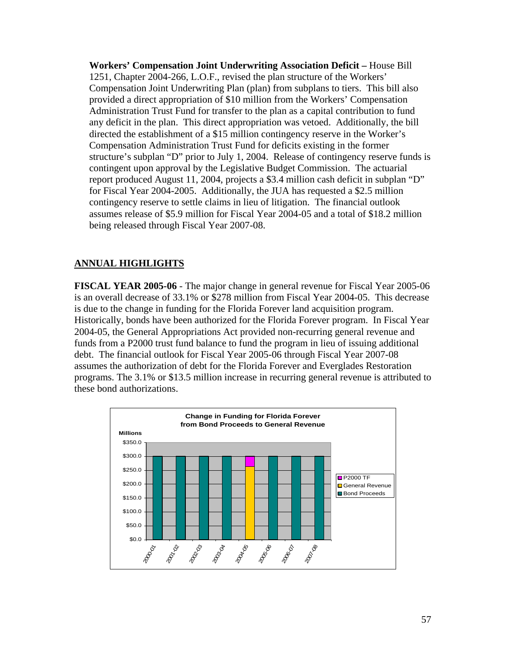**Workers' Compensation Joint Underwriting Association Deficit –** House Bill 1251, Chapter 2004-266, L.O.F., revised the plan structure of the Workers' Compensation Joint Underwriting Plan (plan) from subplans to tiers. This bill also provided a direct appropriation of \$10 million from the Workers' Compensation Administration Trust Fund for transfer to the plan as a capital contribution to fund any deficit in the plan. This direct appropriation was vetoed. Additionally, the bill directed the establishment of a \$15 million contingency reserve in the Worker's Compensation Administration Trust Fund for deficits existing in the former structure's subplan "D" prior to July 1, 2004. Release of contingency reserve funds is contingent upon approval by the Legislative Budget Commission. The actuarial report produced August 11, 2004, projects a \$3.4 million cash deficit in subplan "D" for Fiscal Year 2004-2005. Additionally, the JUA has requested a \$2.5 million contingency reserve to settle claims in lieu of litigation. The financial outlook assumes release of \$5.9 million for Fiscal Year 2004-05 and a total of \$18.2 million being released through Fiscal Year 2007-08.

### **ANNUAL HIGHLIGHTS**

**FISCAL YEAR 2005-06** - The major change in general revenue for Fiscal Year 2005-06 is an overall decrease of 33.1% or \$278 million from Fiscal Year 2004-05. This decrease is due to the change in funding for the Florida Forever land acquisition program. Historically, bonds have been authorized for the Florida Forever program. In Fiscal Year 2004-05, the General Appropriations Act provided non-recurring general revenue and funds from a P2000 trust fund balance to fund the program in lieu of issuing additional debt. The financial outlook for Fiscal Year 2005-06 through Fiscal Year 2007-08 assumes the authorization of debt for the Florida Forever and Everglades Restoration programs. The 3.1% or \$13.5 million increase in recurring general revenue is attributed to these bond authorizations.

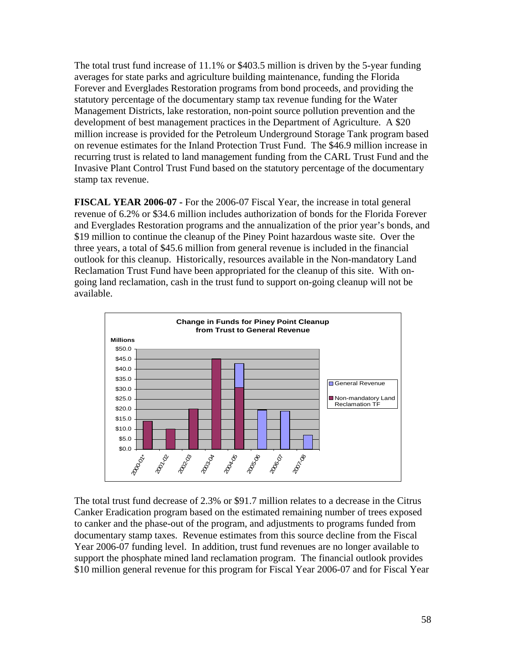The total trust fund increase of 11.1% or \$403.5 million is driven by the 5-year funding averages for state parks and agriculture building maintenance, funding the Florida Forever and Everglades Restoration programs from bond proceeds, and providing the statutory percentage of the documentary stamp tax revenue funding for the Water Management Districts, lake restoration, non-point source pollution prevention and the development of best management practices in the Department of Agriculture. A \$20 million increase is provided for the Petroleum Underground Storage Tank program based on revenue estimates for the Inland Protection Trust Fund. The \$46.9 million increase in recurring trust is related to land management funding from the CARL Trust Fund and the Invasive Plant Control Trust Fund based on the statutory percentage of the documentary stamp tax revenue.

**FISCAL YEAR 2006-07 -** For the 2006-07 Fiscal Year, the increase in total general revenue of 6.2% or \$34.6 million includes authorization of bonds for the Florida Forever and Everglades Restoration programs and the annualization of the prior year's bonds, and \$19 million to continue the cleanup of the Piney Point hazardous waste site. Over the three years, a total of \$45.6 million from general revenue is included in the financial outlook for this cleanup. Historically, resources available in the Non-mandatory Land Reclamation Trust Fund have been appropriated for the cleanup of this site. With ongoing land reclamation, cash in the trust fund to support on-going cleanup will not be available.



The total trust fund decrease of 2.3% or \$91.7 million relates to a decrease in the Citrus Canker Eradication program based on the estimated remaining number of trees exposed to canker and the phase-out of the program, and adjustments to programs funded from documentary stamp taxes. Revenue estimates from this source decline from the Fiscal Year 2006-07 funding level. In addition, trust fund revenues are no longer available to support the phosphate mined land reclamation program. The financial outlook provides \$10 million general revenue for this program for Fiscal Year 2006-07 and for Fiscal Year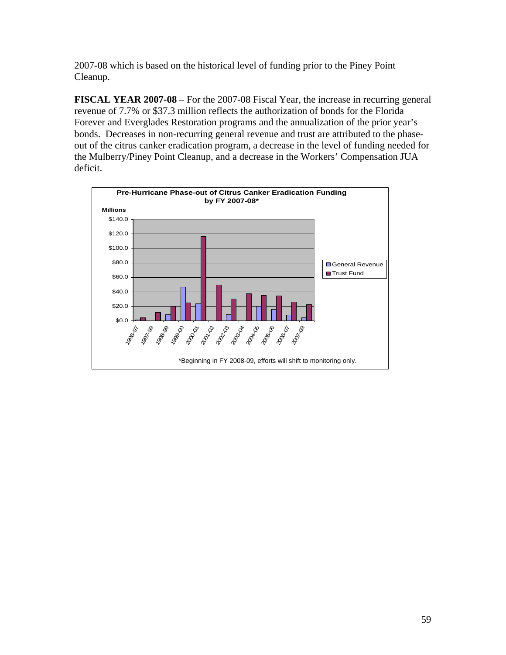2007-08 which is based on the historical level of funding prior to the Piney Point Cleanup.

**FISCAL YEAR 2007-08** – For the 2007-08 Fiscal Year, the increase in recurring general revenue of 7.7% or \$37.3 million reflects the authorization of bonds for the Florida Forever and Everglades Restoration programs and the annualization of the prior year's bonds. Decreases in non-recurring general revenue and trust are attributed to the phaseout of the citrus canker eradication program, a decrease in the level of funding needed for the Mulberry/Piney Point Cleanup, and a decrease in the Workers' Compensation JUA deficit.

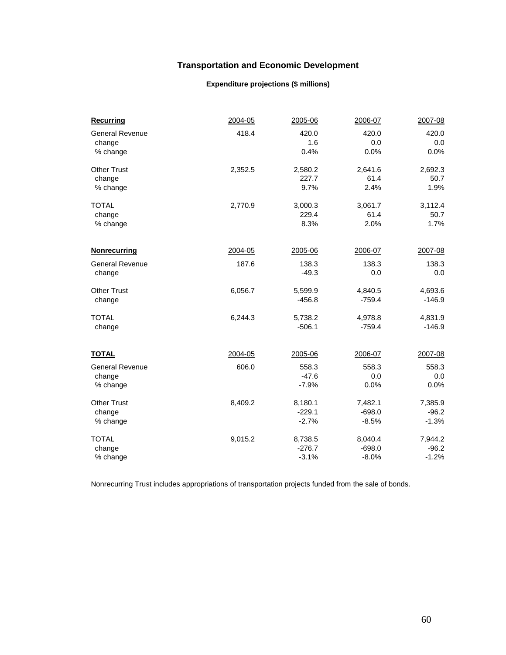### **Transportation and Economic Development**

#### **Expenditure projections (\$ millions)**

| <b>Recurring</b>       | 2004-05 | 2005-06             | 2006-07             | 2007-08             |
|------------------------|---------|---------------------|---------------------|---------------------|
| <b>General Revenue</b> | 418.4   | 420.0               | 420.0               | 420.0               |
| change                 |         | 1.6                 | 0.0                 | 0.0                 |
| % change               |         | 0.4%                | 0.0%                | 0.0%                |
| <b>Other Trust</b>     | 2,352.5 | 2,580.2             | 2,641.6             | 2,692.3             |
| change                 |         | 227.7               | 61.4                | 50.7                |
| % change               |         | 9.7%                | 2.4%                | 1.9%                |
| <b>TOTAL</b>           | 2,770.9 | 3,000.3             | 3,061.7             | 3,112.4             |
| change                 |         | 229.4               | 61.4                | 50.7                |
| % change               |         | 8.3%                | 2.0%                | 1.7%                |
| <b>Nonrecurring</b>    | 2004-05 | 2005-06             | 2006-07             | 2007-08             |
| <b>General Revenue</b> | 187.6   | 138.3               | 138.3               | 138.3               |
| change                 |         | $-49.3$             | 0.0                 | 0.0                 |
| <b>Other Trust</b>     |         |                     |                     |                     |
|                        | 6,056.7 | 5,599.9<br>$-456.8$ | 4,840.5<br>$-759.4$ | 4,693.6<br>$-146.9$ |
| change                 |         |                     |                     |                     |
| <b>TOTAL</b>           | 6,244.3 | 5,738.2             | 4,978.8             | 4,831.9             |
| change                 |         | $-506.1$            | $-759.4$            | $-146.9$            |
| <u>TOTAL</u>           | 2004-05 | 2005-06             | 2006-07             | 2007-08             |
|                        |         | 558.3               | 558.3               |                     |
| <b>General Revenue</b> | 606.0   | $-47.6$             | 0.0                 | 558.3<br>0.0        |
| change<br>% change     |         | $-7.9%$             | 0.0%                | 0.0%                |
|                        |         |                     |                     |                     |
| <b>Other Trust</b>     | 8,409.2 | 8,180.1             | 7,482.1             | 7,385.9             |
| change                 |         | $-229.1$            | $-698.0$            | $-96.2$             |
| % change               |         | $-2.7%$             | $-8.5%$             | $-1.3%$             |
| <b>TOTAL</b>           | 9,015.2 | 8,738.5             | 8,040.4             | 7,944.2             |
| change                 |         | $-276.7$            | $-698.0$            | $-96.2$             |
| % change               |         | $-3.1%$             | $-8.0%$             | $-1.2%$             |

Nonrecurring Trust includes appropriations of transportation projects funded from the sale of bonds.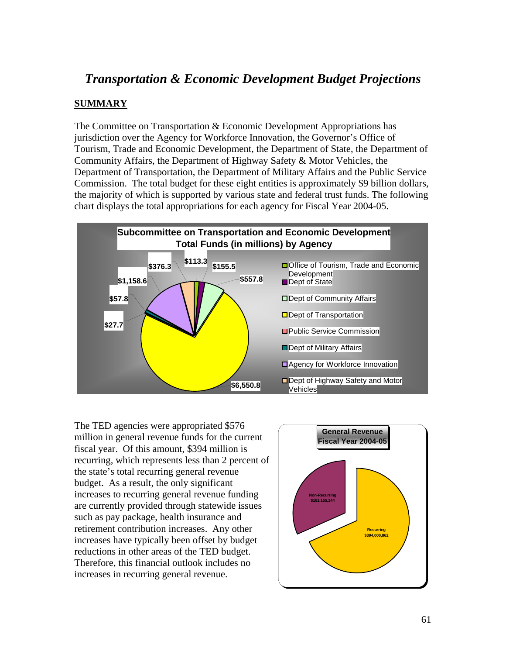# *Transportation & Economic Development Budget Projections*

### **SUMMARY**

The Committee on Transportation & Economic Development Appropriations has jurisdiction over the Agency for Workforce Innovation, the Governor's Office of Tourism, Trade and Economic Development, the Department of State, the Department of Community Affairs, the Department of Highway Safety & Motor Vehicles, the Department of Transportation, the Department of Military Affairs and the Public Service Commission. The total budget for these eight entities is approximately \$9 billion dollars, the majority of which is supported by various state and federal trust funds. The following chart displays the total appropriations for each agency for Fiscal Year 2004-05.



The TED agencies were appropriated \$576 million in general revenue funds for the current fiscal year. Of this amount, \$394 million is recurring, which represents less than 2 percent of the state's total recurring general revenue budget. As a result, the only significant increases to recurring general revenue funding are currently provided through statewide issues such as pay package, health insurance and retirement contribution increases. Any other increases have typically been offset by budget reductions in other areas of the TED budget. Therefore, this financial outlook includes no increases in recurring general revenue.

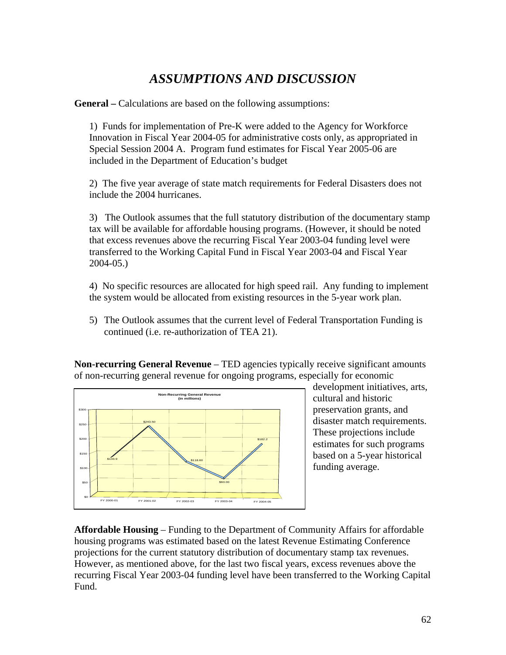# *ASSUMPTIONS AND DISCUSSION*

**General –** Calculations are based on the following assumptions:

1) Funds for implementation of Pre-K were added to the Agency for Workforce Innovation in Fiscal Year 2004-05 for administrative costs only, as appropriated in Special Session 2004 A. Program fund estimates for Fiscal Year 2005-06 are included in the Department of Education's budget

2) The five year average of state match requirements for Federal Disasters does not include the 2004 hurricanes.

3) The Outlook assumes that the full statutory distribution of the documentary stamp tax will be available for affordable housing programs. (However, it should be noted that excess revenues above the recurring Fiscal Year 2003-04 funding level were transferred to the Working Capital Fund in Fiscal Year 2003-04 and Fiscal Year 2004-05.)

4) No specific resources are allocated for high speed rail. Any funding to implement the system would be allocated from existing resources in the 5-year work plan.

5) The Outlook assumes that the current level of Federal Transportation Funding is continued (i.e. re-authorization of TEA 21).

**Non-recurring General Revenue** – TED agencies typically receive significant amounts of non-recurring general revenue for ongoing programs, especially for economic



development initiatives, arts, cultural and historic preservation grants, and disaster match requirements. These projections include estimates for such programs based on a 5-year historical funding average.

**Affordable Housing** – Funding to the Department of Community Affairs for affordable housing programs was estimated based on the latest Revenue Estimating Conference projections for the current statutory distribution of documentary stamp tax revenues. However, as mentioned above, for the last two fiscal years, excess revenues above the recurring Fiscal Year 2003-04 funding level have been transferred to the Working Capital Fund.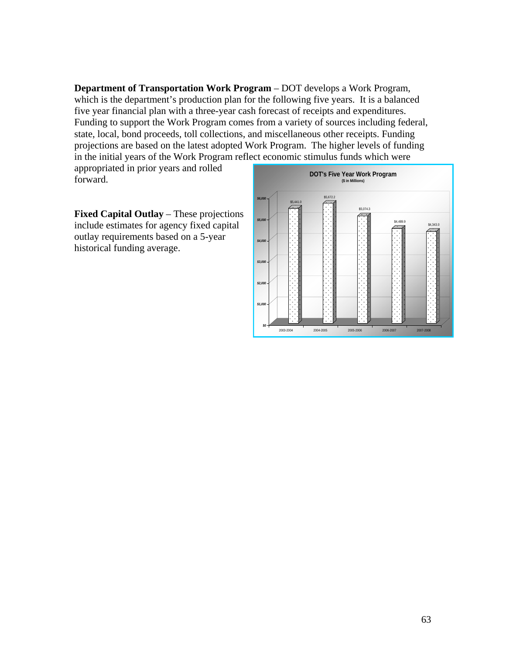**Department of Transportation Work Program** – DOT develops a Work Program, which is the department's production plan for the following five years. It is a balanced five year financial plan with a three-year cash forecast of receipts and expenditures. Funding to support the Work Program comes from a variety of sources including federal, state, local, bond proceeds, toll collections, and miscellaneous other receipts. Funding projections are based on the latest adopted Work Program. The higher levels of funding in the initial years of the Work Program reflect economic stimulus funds which were

appropriated in prior years and rolled forward.

**Fixed Capital Outlay** – These projections include estimates for agency fixed capital outlay requirements based on a 5-year historical funding average.

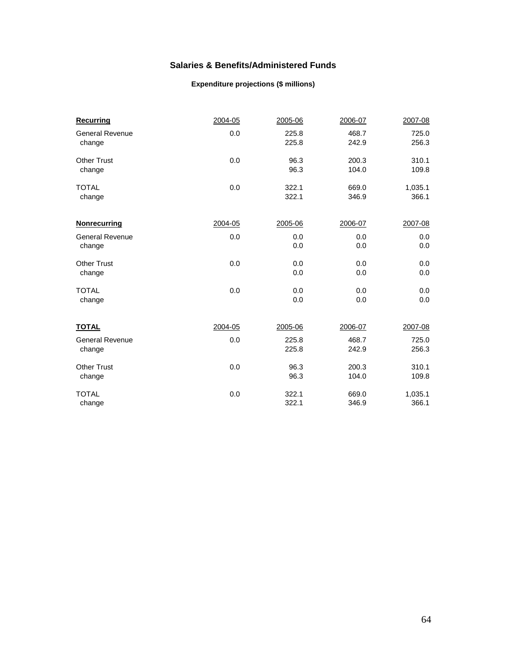#### **Salaries & Benefits/Administered Funds**

#### **Expenditure projections (\$ millions)**

| <b>Recurring</b>       | 2004-05 | 2005-06 | 2006-07 | 2007-08 |
|------------------------|---------|---------|---------|---------|
| <b>General Revenue</b> | 0.0     | 225.8   | 468.7   | 725.0   |
| change                 |         | 225.8   | 242.9   | 256.3   |
| <b>Other Trust</b>     | 0.0     | 96.3    | 200.3   | 310.1   |
| change                 |         | 96.3    | 104.0   | 109.8   |
| <b>TOTAL</b>           | 0.0     | 322.1   | 669.0   | 1,035.1 |
| change                 |         | 322.1   | 346.9   | 366.1   |
| <b>Nonrecurring</b>    | 2004-05 | 2005-06 | 2006-07 | 2007-08 |
| <b>General Revenue</b> | 0.0     | 0.0     | 0.0     | 0.0     |
| change                 |         | 0.0     | 0.0     | 0.0     |
| <b>Other Trust</b>     | 0.0     | 0.0     | 0.0     | 0.0     |
| change                 |         | 0.0     | 0.0     | 0.0     |
| <b>TOTAL</b>           | 0.0     | 0.0     | 0.0     | 0.0     |
| change                 |         | 0.0     | 0.0     | 0.0     |
| <b>TOTAL</b>           | 2004-05 | 2005-06 | 2006-07 | 2007-08 |
| <b>General Revenue</b> | 0.0     | 225.8   | 468.7   | 725.0   |
| change                 |         | 225.8   | 242.9   | 256.3   |
| <b>Other Trust</b>     | 0.0     | 96.3    | 200.3   | 310.1   |
| change                 |         | 96.3    | 104.0   | 109.8   |
| <b>TOTAL</b>           | 0.0     | 322.1   | 669.0   | 1,035.1 |
| change                 |         | 322.1   | 346.9   | 366.1   |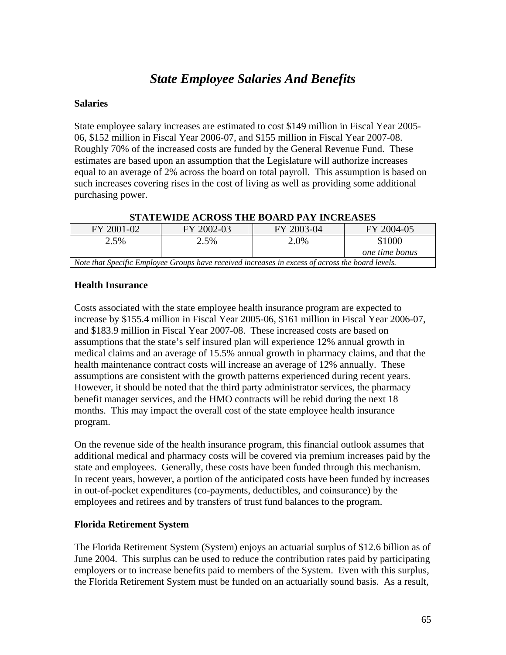# *State Employee Salaries And Benefits*

#### **Salaries**

State employee salary increases are estimated to cost \$149 million in Fiscal Year 2005- 06, \$152 million in Fiscal Year 2006-07, and \$155 million in Fiscal Year 2007-08. Roughly 70% of the increased costs are funded by the General Revenue Fund. These estimates are based upon an assumption that the Legislature will authorize increases equal to an average of 2% across the board on total payroll. This assumption is based on such increases covering rises in the cost of living as well as providing some additional purchasing power.

| FY 2001-02                                                                                       | FY 2002-03 | FY 2003-04 | FY 2004-05     |
|--------------------------------------------------------------------------------------------------|------------|------------|----------------|
| 2.5%                                                                                             | 2.5%       | 2.0%       | \$1000         |
|                                                                                                  |            |            | one time bonus |
| Note that Specific Employee Groups have received increases in excess of across the board levels. |            |            |                |

#### **Health Insurance**

Costs associated with the state employee health insurance program are expected to increase by \$155.4 million in Fiscal Year 2005-06, \$161 million in Fiscal Year 2006-07, and \$183.9 million in Fiscal Year 2007-08. These increased costs are based on assumptions that the state's self insured plan will experience 12% annual growth in medical claims and an average of 15.5% annual growth in pharmacy claims, and that the health maintenance contract costs will increase an average of 12% annually. These assumptions are consistent with the growth patterns experienced during recent years. However, it should be noted that the third party administrator services, the pharmacy benefit manager services, and the HMO contracts will be rebid during the next 18 months. This may impact the overall cost of the state employee health insurance program.

On the revenue side of the health insurance program, this financial outlook assumes that additional medical and pharmacy costs will be covered via premium increases paid by the state and employees. Generally, these costs have been funded through this mechanism. In recent years, however, a portion of the anticipated costs have been funded by increases in out-of-pocket expenditures (co-payments, deductibles, and coinsurance) by the employees and retirees and by transfers of trust fund balances to the program.

#### **Florida Retirement System**

The Florida Retirement System (System) enjoys an actuarial surplus of \$12.6 billion as of June 2004. This surplus can be used to reduce the contribution rates paid by participating employers or to increase benefits paid to members of the System. Even with this surplus, the Florida Retirement System must be funded on an actuarially sound basis. As a result,